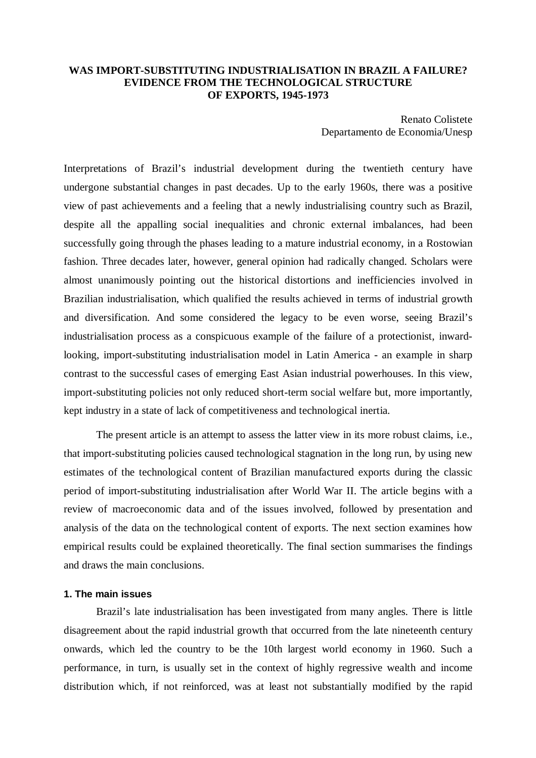# **WAS IMPORT-SUBSTITUTING INDUSTRIALISATION IN BRAZIL A FAILURE? EVIDENCE FROM THE TECHNOLOGICAL STRUCTURE OF EXPORTS, 1945-1973**

Renato Colistete Departamento de Economia/Unesp

Interpretations of Brazil's industrial development during the twentieth century have undergone substantial changes in past decades. Up to the early 1960s, there was a positive view of past achievements and a feeling that a newly industrialising country such as Brazil, despite all the appalling social inequalities and chronic external imbalances, had been successfully going through the phases leading to a mature industrial economy, in a Rostowian fashion. Three decades later, however, general opinion had radically changed. Scholars were almost unanimously pointing out the historical distortions and inefficiencies involved in Brazilian industrialisation, which qualified the results achieved in terms of industrial growth and diversification. And some considered the legacy to be even worse, seeing Brazil's industrialisation process as a conspicuous example of the failure of a protectionist, inwardlooking, import-substituting industrialisation model in Latin America - an example in sharp contrast to the successful cases of emerging East Asian industrial powerhouses. In this view, import-substituting policies not only reduced short-term social welfare but, more importantly, kept industry in a state of lack of competitiveness and technological inertia.

The present article is an attempt to assess the latter view in its more robust claims, i.e., that import-substituting policies caused technological stagnation in the long run, by using new estimates of the technological content of Brazilian manufactured exports during the classic period of import-substituting industrialisation after World War II. The article begins with a review of macroeconomic data and of the issues involved, followed by presentation and analysis of the data on the technological content of exports. The next section examines how empirical results could be explained theoretically. The final section summarises the findings and draws the main conclusions.

#### **1. The main issues**

Brazil's late industrialisation has been investigated from many angles. There is little disagreement about the rapid industrial growth that occurred from the late nineteenth century onwards, which led the country to be the 10th largest world economy in 1960. Such a performance, in turn, is usually set in the context of highly regressive wealth and income distribution which, if not reinforced, was at least not substantially modified by the rapid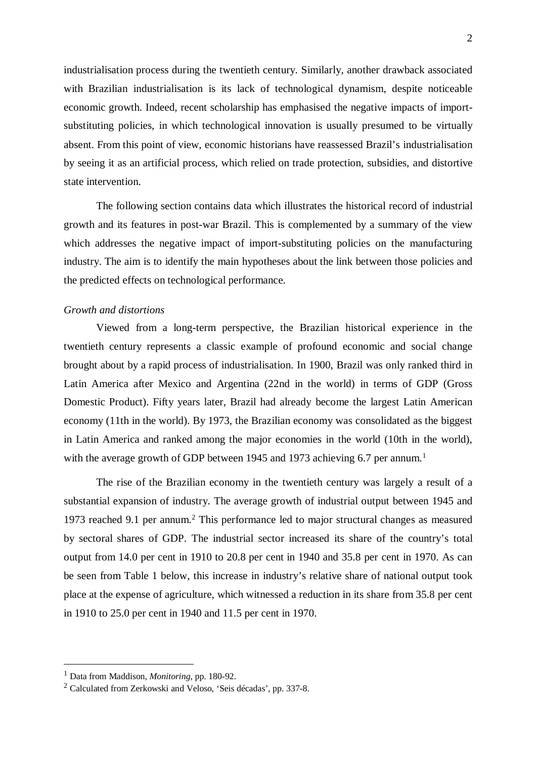industrialisation process during the twentieth century. Similarly, another drawback associated with Brazilian industrialisation is its lack of technological dynamism, despite noticeable economic growth. Indeed, recent scholarship has emphasised the negative impacts of importsubstituting policies, in which technological innovation is usually presumed to be virtually absent. From this point of view, economic historians have reassessed Brazil's industrialisation by seeing it as an artificial process, which relied on trade protection, subsidies, and distortive state intervention.

The following section contains data which illustrates the historical record of industrial growth and its features in post-war Brazil. This is complemented by a summary of the view which addresses the negative impact of import-substituting policies on the manufacturing industry. The aim is to identify the main hypotheses about the link between those policies and the predicted effects on technological performance.

#### *Growth and distortions*

Viewed from a long-term perspective, the Brazilian historical experience in the twentieth century represents a classic example of profound economic and social change brought about by a rapid process of industrialisation. In 1900, Brazil was only ranked third in Latin America after Mexico and Argentina (22nd in the world) in terms of GDP (Gross Domestic Product). Fifty years later, Brazil had already become the largest Latin American economy (11th in the world). By 1973, the Brazilian economy was consolidated as the biggest in Latin America and ranked among the major economies in the world (10th in the world), with the average growth of GDP between 1945 and 1973 achieving 6.7 per annum.<sup>1</sup>

The rise of the Brazilian economy in the twentieth century was largely a result of a substantial expansion of industry. The average growth of industrial output between 1945 and 1973 reached 9.1 per annum.2 This performance led to major structural changes as measured by sectoral shares of GDP. The industrial sector increased its share of the country's total output from 14.0 per cent in 1910 to 20.8 per cent in 1940 and 35.8 per cent in 1970. As can be seen from Table 1 below, this increase in industry's relative share of national output took place at the expense of agriculture, which witnessed a reduction in its share from 35.8 per cent in 1910 to 25.0 per cent in 1940 and 11.5 per cent in 1970.

<sup>1</sup> Data from Maddison, *Monitoring*, pp. 180-92.

<sup>&</sup>lt;sup>2</sup> Calculated from Zerkowski and Veloso, 'Seis décadas', pp. 337-8.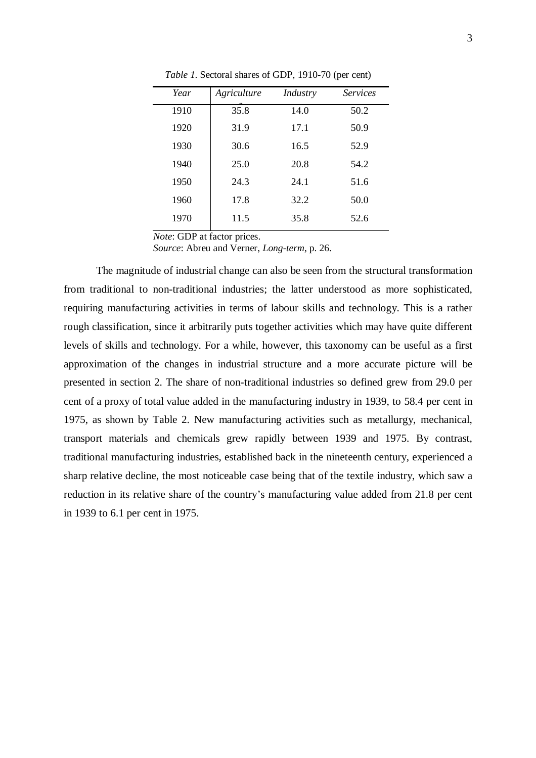| Year | Agriculture | Industry | <i>Services</i> |  |
|------|-------------|----------|-----------------|--|
| 1910 | 35.8        | 14.0     | 50.2            |  |
| 1920 | 31.9        | 17.1     | 50.9            |  |
| 1930 | 30.6        | 16.5     | 52.9            |  |
| 1940 | 25.0        | 20.8     | 54.2            |  |
| 1950 | 24.3        | 24.1     | 51.6            |  |
| 1960 | 17.8        | 32.2     | 50.0            |  |
| 1970 | 11.5        | 35.8     | 52.6            |  |
|      |             |          |                 |  |

*Table 1*. Sectoral shares of GDP, 1910-70 (per cent)

*Note*: GDP at factor prices.

*Source*: Abreu and Verner, *Long-term*, p. 26.

The magnitude of industrial change can also be seen from the structural transformation from traditional to non-traditional industries; the latter understood as more sophisticated, requiring manufacturing activities in terms of labour skills and technology. This is a rather rough classification, since it arbitrarily puts together activities which may have quite different levels of skills and technology. For a while, however, this taxonomy can be useful as a first approximation of the changes in industrial structure and a more accurate picture will be presented in section 2. The share of non-traditional industries so defined grew from 29.0 per cent of a proxy of total value added in the manufacturing industry in 1939, to 58.4 per cent in 1975, as shown by Table 2. New manufacturing activities such as metallurgy, mechanical, transport materials and chemicals grew rapidly between 1939 and 1975. By contrast, traditional manufacturing industries, established back in the nineteenth century, experienced a sharp relative decline, the most noticeable case being that of the textile industry, which saw a reduction in its relative share of the country's manufacturing value added from 21.8 per cent in 1939 to 6.1 per cent in 1975.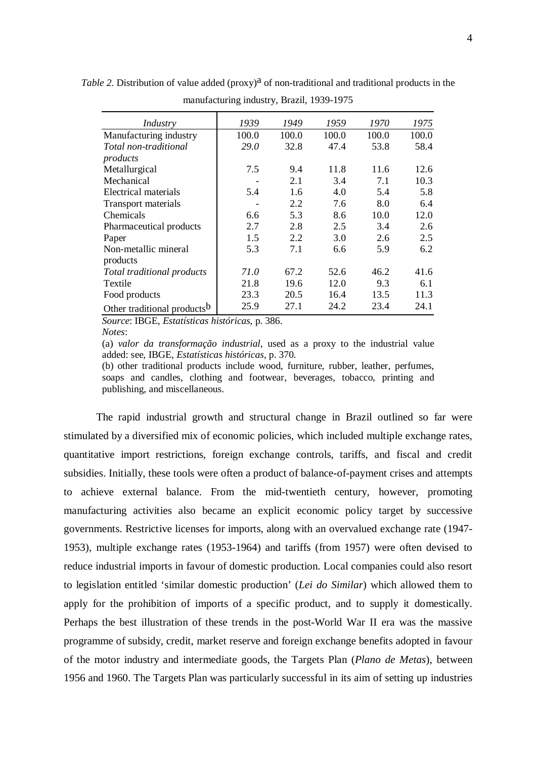| Industry                                | 1939  | 1949  | 1959  | 1970  | 1975  |
|-----------------------------------------|-------|-------|-------|-------|-------|
| Manufacturing industry                  | 100.0 | 100.0 | 100.0 | 100.0 | 100.0 |
| Total non-traditional                   | 29.0  | 32.8  | 47.4  | 53.8  | 58.4  |
| products                                |       |       |       |       |       |
| Metallurgical                           | 7.5   | 9.4   | 11.8  | 11.6  | 12.6  |
| Mechanical                              |       | 2.1   | 3.4   | 7.1   | 10.3  |
| Electrical materials                    | 5.4   | 1.6   | 4.0   | 5.4   | 5.8   |
| Transport materials                     |       | 2.2   | 7.6   | 8.0   | 6.4   |
| Chemicals                               | 6.6   | 5.3   | 8.6   | 10.0  | 12.0  |
| Pharmaceutical products                 | 2.7   | 2.8   | 2.5   | 3.4   | 2.6   |
| Paper                                   | 1.5   | 2.2   | 3.0   | 2.6   | 2.5   |
| Non-metallic mineral                    | 5.3   | 7.1   | 6.6   | 5.9   | 6.2   |
| products                                |       |       |       |       |       |
| Total traditional products              | 71.0  | 67.2  | 52.6  | 46.2  | 41.6  |
| Textile                                 | 21.8  | 19.6  | 12.0  | 9.3   | 6.1   |
| Food products                           | 23.3  | 20.5  | 16.4  | 13.5  | 11.3  |
| Other traditional products <sup>b</sup> | 25.9  | 27.1  | 24.2  | 23.4  | 24.1  |

*Table 2.* Distribution of value added ( $\text{prox}_{y}$ <sup>a</sup> of non-traditional and traditional products in the manufacturing industry, Brazil, 1939-1975

*Source*: IBGE, *Estatísticas históricas*, p. 386.

*Notes*:

(a) *valor da transformação industrial*, used as a proxy to the industrial value added: see, IBGE, *Estatísticas históricas*, p. 370.

(b) other traditional products include wood, furniture, rubber, leather, perfumes, soaps and candles, clothing and footwear, beverages, tobacco, printing and publishing, and miscellaneous.

The rapid industrial growth and structural change in Brazil outlined so far were stimulated by a diversified mix of economic policies, which included multiple exchange rates, quantitative import restrictions, foreign exchange controls, tariffs, and fiscal and credit subsidies. Initially, these tools were often a product of balance-of-payment crises and attempts to achieve external balance. From the mid-twentieth century, however, promoting manufacturing activities also became an explicit economic policy target by successive governments. Restrictive licenses for imports, along with an overvalued exchange rate (1947- 1953), multiple exchange rates (1953-1964) and tariffs (from 1957) were often devised to reduce industrial imports in favour of domestic production. Local companies could also resort to legislation entitled 'similar domestic production' (*Lei do Similar*) which allowed them to apply for the prohibition of imports of a specific product, and to supply it domestically. Perhaps the best illustration of these trends in the post-World War II era was the massive programme of subsidy, credit, market reserve and foreign exchange benefits adopted in favour of the motor industry and intermediate goods, the Targets Plan (*Plano de Metas*), between 1956 and 1960. The Targets Plan was particularly successful in its aim of setting up industries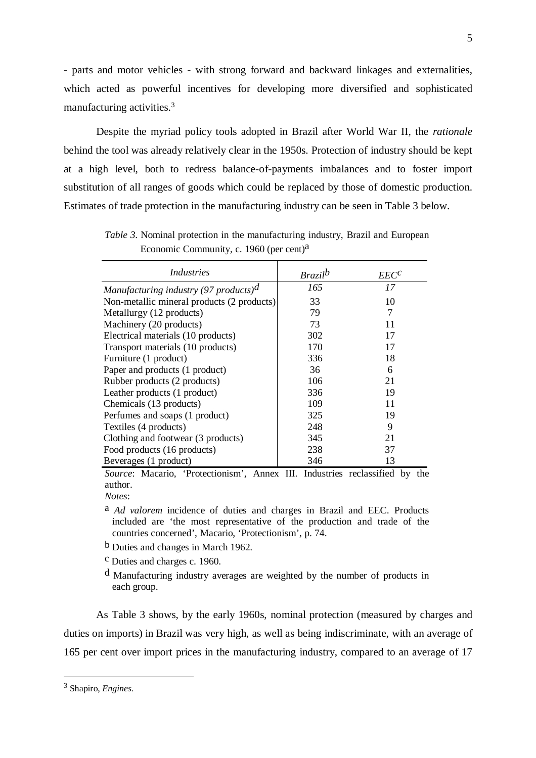- parts and motor vehicles - with strong forward and backward linkages and externalities, which acted as powerful incentives for developing more diversified and sophisticated manufacturing activities.3

Despite the myriad policy tools adopted in Brazil after World War II, the *rationale* behind the tool was already relatively clear in the 1950s. Protection of industry should be kept at a high level, both to redress balance-of-payments imbalances and to foster import substitution of all ranges of goods which could be replaced by those of domestic production. Estimates of trade protection in the manufacturing industry can be seen in Table 3 below.

| Industries                                                             | <b>Brazil</b> b | $EEC^C$ |
|------------------------------------------------------------------------|-----------------|---------|
| Manufacturing industry (97 products) <sup>d</sup>                      | 165             | 17      |
| Non-metallic mineral products (2 products)                             | 33              | 10      |
| Metallurgy (12 products)                                               | 79              | 7       |
| Machinery (20 products)                                                | 73              | 11      |
| Electrical materials (10 products)                                     | 302             | 17      |
| Transport materials (10 products)                                      | 170             | 17      |
| Furniture (1 product)                                                  | 336             | 18      |
| Paper and products (1 product)                                         | 36              | 6       |
| Rubber products (2 products)                                           | 106             | 21      |
| Leather products (1 product)                                           | 336             | 19      |
| Chemicals (13 products)                                                | 109             | 11      |
| Perfumes and soaps (1 product)                                         | 325             | 19      |
| Textiles (4 products)                                                  | 248             | 9       |
| Clothing and footwear (3 products)                                     | 345             | 21      |
| Food products (16 products)                                            | 238             | 37      |
| Beverages (1 product)                                                  | 346             | 13      |
| Course Mesoria Dretectionian' Annoy III Industries reclessified by the |                 |         |

*Table 3*. Nominal protection in the manufacturing industry, Brazil and European Economic Community, c. 1960 (per cent)<sup>a</sup>

*Source*: Macario, 'Protectionism', Annex III. Industries reclassified by the author. *Notes*:

- a *Ad valorem* incidence of duties and charges in Brazil and EEC. Products included are 'the most representative of the production and trade of the countries concerned', Macario, 'Protectionism', p. 74.
- b Duties and changes in March 1962.
- c Duties and charges c. 1960.
- d Manufacturing industry averages are weighted by the number of products in each group.

As Table 3 shows, by the early 1960s, nominal protection (measured by charges and duties on imports) in Brazil was very high, as well as being indiscriminate, with an average of 165 per cent over import prices in the manufacturing industry, compared to an average of 17

<sup>3</sup> Shapiro, *Engines*.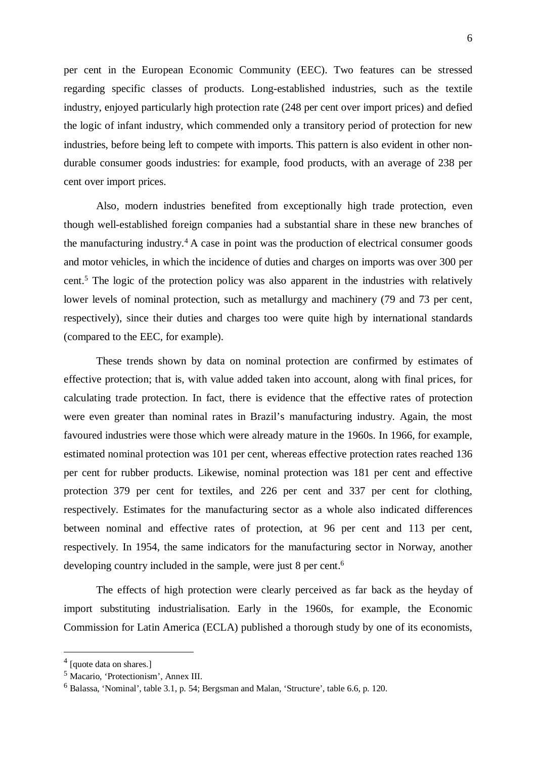per cent in the European Economic Community (EEC). Two features can be stressed regarding specific classes of products. Long-established industries, such as the textile industry, enjoyed particularly high protection rate (248 per cent over import prices) and defied the logic of infant industry, which commended only a transitory period of protection for new industries, before being left to compete with imports. This pattern is also evident in other nondurable consumer goods industries: for example, food products, with an average of 238 per cent over import prices.

Also, modern industries benefited from exceptionally high trade protection, even though well-established foreign companies had a substantial share in these new branches of the manufacturing industry.<sup>4</sup> A case in point was the production of electrical consumer goods and motor vehicles, in which the incidence of duties and charges on imports was over 300 per cent.5 The logic of the protection policy was also apparent in the industries with relatively lower levels of nominal protection, such as metallurgy and machinery (79 and 73 per cent, respectively), since their duties and charges too were quite high by international standards (compared to the EEC, for example).

These trends shown by data on nominal protection are confirmed by estimates of effective protection; that is, with value added taken into account, along with final prices, for calculating trade protection. In fact, there is evidence that the effective rates of protection were even greater than nominal rates in Brazil's manufacturing industry. Again, the most favoured industries were those which were already mature in the 1960s. In 1966, for example, estimated nominal protection was 101 per cent, whereas effective protection rates reached 136 per cent for rubber products. Likewise, nominal protection was 181 per cent and effective protection 379 per cent for textiles, and 226 per cent and 337 per cent for clothing, respectively. Estimates for the manufacturing sector as a whole also indicated differences between nominal and effective rates of protection, at 96 per cent and 113 per cent, respectively. In 1954, the same indicators for the manufacturing sector in Norway, another developing country included in the sample, were just 8 per cent.<sup>6</sup>

The effects of high protection were clearly perceived as far back as the heyday of import substituting industrialisation. Early in the 1960s, for example, the Economic Commission for Latin America (ECLA) published a thorough study by one of its economists,

 $<sup>4</sup>$  [quote data on shares.]</sup>

<sup>5</sup> Macario, 'Protectionism', Annex III.

<sup>6</sup> Balassa, 'Nominal', table 3.1, p. 54; Bergsman and Malan, 'Structure', table 6.6, p. 120.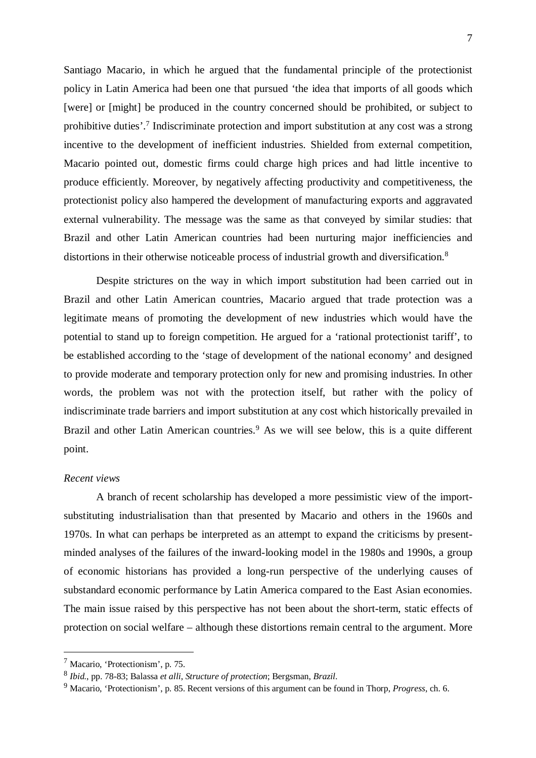Santiago Macario, in which he argued that the fundamental principle of the protectionist policy in Latin America had been one that pursued 'the idea that imports of all goods which [were] or [might] be produced in the country concerned should be prohibited, or subject to prohibitive duties'.7 Indiscriminate protection and import substitution at any cost was a strong incentive to the development of inefficient industries. Shielded from external competition, Macario pointed out, domestic firms could charge high prices and had little incentive to produce efficiently. Moreover, by negatively affecting productivity and competitiveness, the protectionist policy also hampered the development of manufacturing exports and aggravated external vulnerability. The message was the same as that conveyed by similar studies: that Brazil and other Latin American countries had been nurturing major inefficiencies and distortions in their otherwise noticeable process of industrial growth and diversification.<sup>8</sup>

Despite strictures on the way in which import substitution had been carried out in Brazil and other Latin American countries, Macario argued that trade protection was a legitimate means of promoting the development of new industries which would have the potential to stand up to foreign competition. He argued for a 'rational protectionist tariff', to be established according to the 'stage of development of the national economy' and designed to provide moderate and temporary protection only for new and promising industries. In other words, the problem was not with the protection itself, but rather with the policy of indiscriminate trade barriers and import substitution at any cost which historically prevailed in Brazil and other Latin American countries.<sup>9</sup> As we will see below, this is a quite different point.

## *Recent views*

 $\overline{a}$ 

A branch of recent scholarship has developed a more pessimistic view of the importsubstituting industrialisation than that presented by Macario and others in the 1960s and 1970s. In what can perhaps be interpreted as an attempt to expand the criticisms by presentminded analyses of the failures of the inward-looking model in the 1980s and 1990s, a group of economic historians has provided a long-run perspective of the underlying causes of substandard economic performance by Latin America compared to the East Asian economies. The main issue raised by this perspective has not been about the short-term, static effects of protection on social welfare – although these distortions remain central to the argument. More

<sup>7</sup> Macario, 'Protectionism', p. 75.

<sup>8</sup> *Ibid.*, pp. 78-83; Balassa *et alli*, *Structure of protection*; Bergsman, *Brazil*.

<sup>9</sup> Macario, 'Protectionism', p. 85. Recent versions of this argument can be found in Thorp, *Progress*, ch. 6.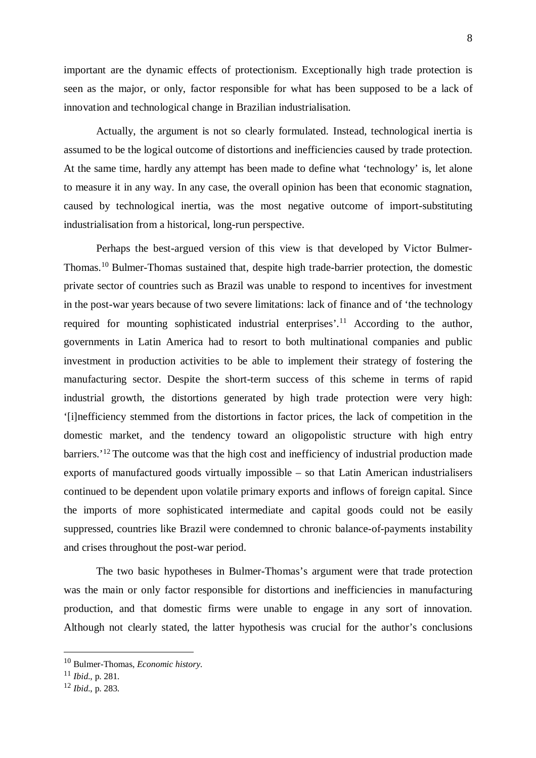important are the dynamic effects of protectionism. Exceptionally high trade protection is seen as the major, or only, factor responsible for what has been supposed to be a lack of innovation and technological change in Brazilian industrialisation.

Actually, the argument is not so clearly formulated. Instead, technological inertia is assumed to be the logical outcome of distortions and inefficiencies caused by trade protection. At the same time, hardly any attempt has been made to define what 'technology' is, let alone to measure it in any way. In any case, the overall opinion has been that economic stagnation, caused by technological inertia, was the most negative outcome of import-substituting industrialisation from a historical, long-run perspective.

Perhaps the best-argued version of this view is that developed by Victor Bulmer-Thomas.10 Bulmer-Thomas sustained that, despite high trade-barrier protection, the domestic private sector of countries such as Brazil was unable to respond to incentives for investment in the post-war years because of two severe limitations: lack of finance and of 'the technology required for mounting sophisticated industrial enterprises'.<sup>11</sup> According to the author, governments in Latin America had to resort to both multinational companies and public investment in production activities to be able to implement their strategy of fostering the manufacturing sector. Despite the short-term success of this scheme in terms of rapid industrial growth, the distortions generated by high trade protection were very high: '[i]nefficiency stemmed from the distortions in factor prices, the lack of competition in the domestic market, and the tendency toward an oligopolistic structure with high entry barriers.<sup>'12</sup> The outcome was that the high cost and inefficiency of industrial production made exports of manufactured goods virtually impossible – so that Latin American industrialisers continued to be dependent upon volatile primary exports and inflows of foreign capital. Since the imports of more sophisticated intermediate and capital goods could not be easily suppressed, countries like Brazil were condemned to chronic balance-of-payments instability and crises throughout the post-war period.

The two basic hypotheses in Bulmer-Thomas's argument were that trade protection was the main or only factor responsible for distortions and inefficiencies in manufacturing production, and that domestic firms were unable to engage in any sort of innovation. Although not clearly stated, the latter hypothesis was crucial for the author's conclusions

<sup>10</sup> Bulmer-Thomas, *Economic history*.

<sup>11</sup> *Ibid*., p. 281.

<sup>12</sup> *Ibid*., p. 283.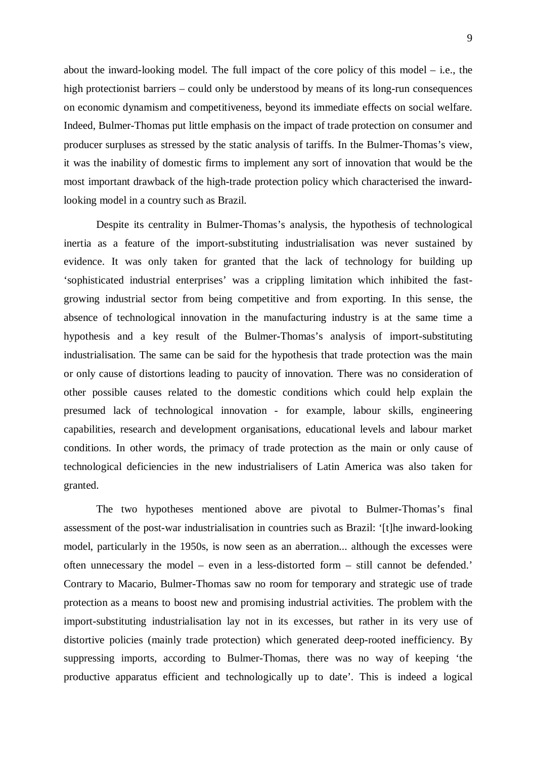about the inward-looking model. The full impact of the core policy of this model – i.e., the high protectionist barriers – could only be understood by means of its long-run consequences on economic dynamism and competitiveness, beyond its immediate effects on social welfare. Indeed, Bulmer-Thomas put little emphasis on the impact of trade protection on consumer and producer surpluses as stressed by the static analysis of tariffs. In the Bulmer-Thomas's view, it was the inability of domestic firms to implement any sort of innovation that would be the most important drawback of the high-trade protection policy which characterised the inwardlooking model in a country such as Brazil.

Despite its centrality in Bulmer-Thomas's analysis, the hypothesis of technological inertia as a feature of the import-substituting industrialisation was never sustained by evidence. It was only taken for granted that the lack of technology for building up 'sophisticated industrial enterprises' was a crippling limitation which inhibited the fastgrowing industrial sector from being competitive and from exporting. In this sense, the absence of technological innovation in the manufacturing industry is at the same time a hypothesis and a key result of the Bulmer-Thomas's analysis of import-substituting industrialisation. The same can be said for the hypothesis that trade protection was the main or only cause of distortions leading to paucity of innovation. There was no consideration of other possible causes related to the domestic conditions which could help explain the presumed lack of technological innovation - for example, labour skills, engineering capabilities, research and development organisations, educational levels and labour market conditions. In other words, the primacy of trade protection as the main or only cause of technological deficiencies in the new industrialisers of Latin America was also taken for granted.

The two hypotheses mentioned above are pivotal to Bulmer-Thomas's final assessment of the post-war industrialisation in countries such as Brazil: '[t]he inward-looking model, particularly in the 1950s, is now seen as an aberration... although the excesses were often unnecessary the model – even in a less-distorted form – still cannot be defended.' Contrary to Macario, Bulmer-Thomas saw no room for temporary and strategic use of trade protection as a means to boost new and promising industrial activities. The problem with the import-substituting industrialisation lay not in its excesses, but rather in its very use of distortive policies (mainly trade protection) which generated deep-rooted inefficiency. By suppressing imports, according to Bulmer-Thomas, there was no way of keeping 'the productive apparatus efficient and technologically up to date'. This is indeed a logical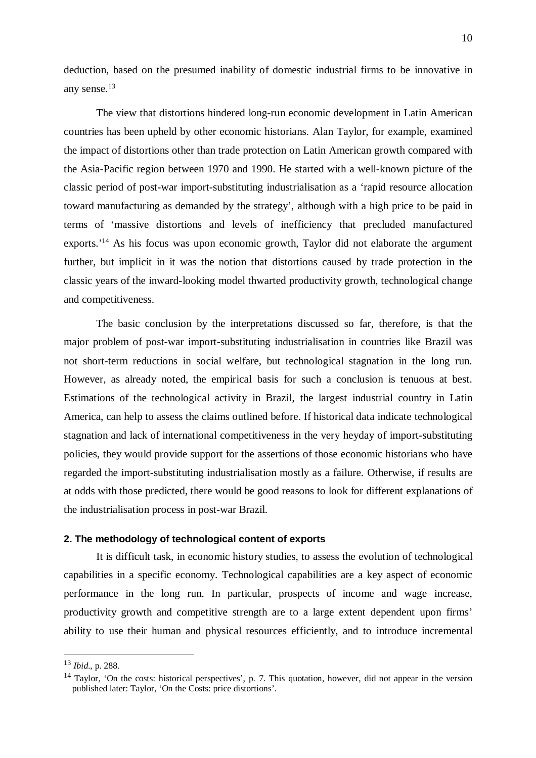deduction, based on the presumed inability of domestic industrial firms to be innovative in any sense.13

The view that distortions hindered long-run economic development in Latin American countries has been upheld by other economic historians. Alan Taylor, for example, examined the impact of distortions other than trade protection on Latin American growth compared with the Asia-Pacific region between 1970 and 1990. He started with a well-known picture of the classic period of post-war import-substituting industrialisation as a 'rapid resource allocation toward manufacturing as demanded by the strategy', although with a high price to be paid in terms of 'massive distortions and levels of inefficiency that precluded manufactured exports.<sup>'14</sup> As his focus was upon economic growth, Taylor did not elaborate the argument further, but implicit in it was the notion that distortions caused by trade protection in the classic years of the inward-looking model thwarted productivity growth, technological change and competitiveness.

The basic conclusion by the interpretations discussed so far, therefore, is that the major problem of post-war import-substituting industrialisation in countries like Brazil was not short-term reductions in social welfare, but technological stagnation in the long run. However, as already noted, the empirical basis for such a conclusion is tenuous at best. Estimations of the technological activity in Brazil, the largest industrial country in Latin America, can help to assess the claims outlined before. If historical data indicate technological stagnation and lack of international competitiveness in the very heyday of import-substituting policies, they would provide support for the assertions of those economic historians who have regarded the import-substituting industrialisation mostly as a failure. Otherwise, if results are at odds with those predicted, there would be good reasons to look for different explanations of the industrialisation process in post-war Brazil.

#### **2. The methodology of technological content of exports**

It is difficult task, in economic history studies, to assess the evolution of technological capabilities in a specific economy. Technological capabilities are a key aspect of economic performance in the long run. In particular, prospects of income and wage increase, productivity growth and competitive strength are to a large extent dependent upon firms' ability to use their human and physical resources efficiently, and to introduce incremental

<sup>13</sup> *Ibid*., p. 288.

<sup>&</sup>lt;sup>14</sup> Taylor, 'On the costs: historical perspectives', p. 7. This quotation, however, did not appear in the version published later: Taylor, 'On the Costs: price distortions'.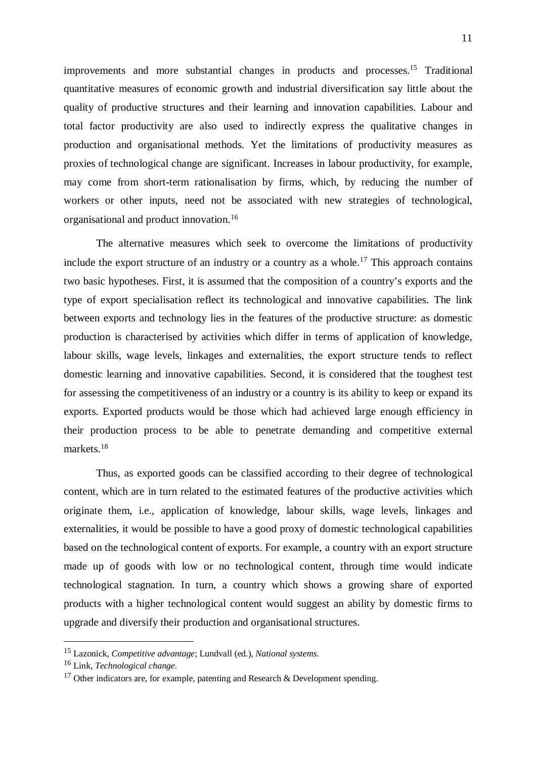improvements and more substantial changes in products and processes.15 Traditional quantitative measures of economic growth and industrial diversification say little about the quality of productive structures and their learning and innovation capabilities. Labour and total factor productivity are also used to indirectly express the qualitative changes in production and organisational methods. Yet the limitations of productivity measures as proxies of technological change are significant. Increases in labour productivity, for example, may come from short-term rationalisation by firms, which, by reducing the number of workers or other inputs, need not be associated with new strategies of technological, organisational and product innovation.16

The alternative measures which seek to overcome the limitations of productivity include the export structure of an industry or a country as a whole.<sup>17</sup> This approach contains two basic hypotheses. First, it is assumed that the composition of a country's exports and the type of export specialisation reflect its technological and innovative capabilities. The link between exports and technology lies in the features of the productive structure: as domestic production is characterised by activities which differ in terms of application of knowledge, labour skills, wage levels, linkages and externalities, the export structure tends to reflect domestic learning and innovative capabilities. Second, it is considered that the toughest test for assessing the competitiveness of an industry or a country is its ability to keep or expand its exports. Exported products would be those which had achieved large enough efficiency in their production process to be able to penetrate demanding and competitive external markets.18

Thus, as exported goods can be classified according to their degree of technological content, which are in turn related to the estimated features of the productive activities which originate them, i.e., application of knowledge, labour skills, wage levels, linkages and externalities, it would be possible to have a good proxy of domestic technological capabilities based on the technological content of exports. For example, a country with an export structure made up of goods with low or no technological content, through time would indicate technological stagnation. In turn, a country which shows a growing share of exported products with a higher technological content would suggest an ability by domestic firms to upgrade and diversify their production and organisational structures.

<sup>15</sup> Lazonick, *Competitive advantage*; Lundvall (ed.), *National systems*.

<sup>16</sup> Link, *Technological change*.

<sup>&</sup>lt;sup>17</sup> Other indicators are, for example, patenting and Research & Development spending.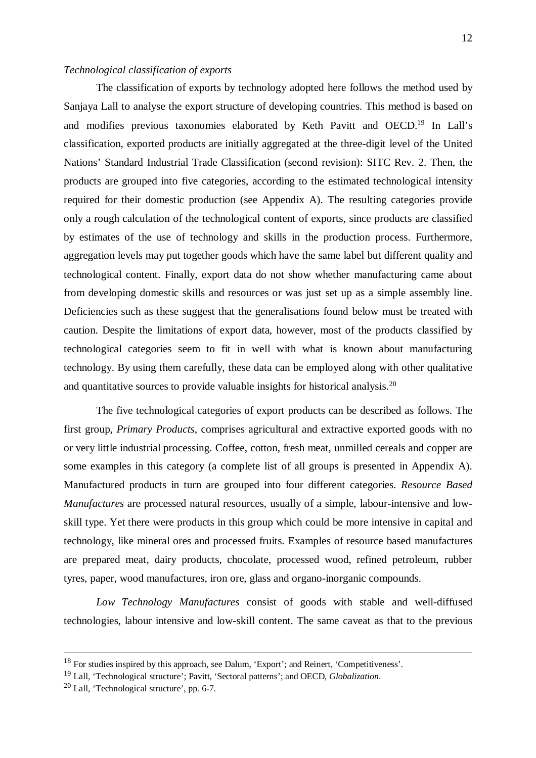#### *Technological classification of exports*

The classification of exports by technology adopted here follows the method used by Sanjaya Lall to analyse the export structure of developing countries. This method is based on and modifies previous taxonomies elaborated by Keth Pavitt and OECD.19 In Lall's classification, exported products are initially aggregated at the three-digit level of the United Nations' Standard Industrial Trade Classification (second revision): SITC Rev. 2. Then, the products are grouped into five categories, according to the estimated technological intensity required for their domestic production (see Appendix A). The resulting categories provide only a rough calculation of the technological content of exports, since products are classified by estimates of the use of technology and skills in the production process. Furthermore, aggregation levels may put together goods which have the same label but different quality and technological content. Finally, export data do not show whether manufacturing came about from developing domestic skills and resources or was just set up as a simple assembly line. Deficiencies such as these suggest that the generalisations found below must be treated with caution. Despite the limitations of export data, however, most of the products classified by technological categories seem to fit in well with what is known about manufacturing technology. By using them carefully, these data can be employed along with other qualitative and quantitative sources to provide valuable insights for historical analysis.20

The five technological categories of export products can be described as follows. The first group, *Primary Products*, comprises agricultural and extractive exported goods with no or very little industrial processing. Coffee, cotton, fresh meat, unmilled cereals and copper are some examples in this category (a complete list of all groups is presented in Appendix A). Manufactured products in turn are grouped into four different categories. *Resource Based Manufactures* are processed natural resources, usually of a simple, labour-intensive and lowskill type. Yet there were products in this group which could be more intensive in capital and technology, like mineral ores and processed fruits. Examples of resource based manufactures are prepared meat, dairy products, chocolate, processed wood, refined petroleum, rubber tyres, paper, wood manufactures, iron ore, glass and organo-inorganic compounds.

*Low Technology Manufactures* consist of goods with stable and well-diffused technologies, labour intensive and low-skill content. The same caveat as that to the previous

<sup>&</sup>lt;sup>18</sup> For studies inspired by this approach, see Dalum, 'Export'; and Reinert, 'Competitiveness'.

<sup>19</sup> Lall, 'Technological structure'; Pavitt, 'Sectoral patterns'; and OECD, *Globalization*.

<sup>20</sup> Lall, 'Technological structure', pp. 6-7.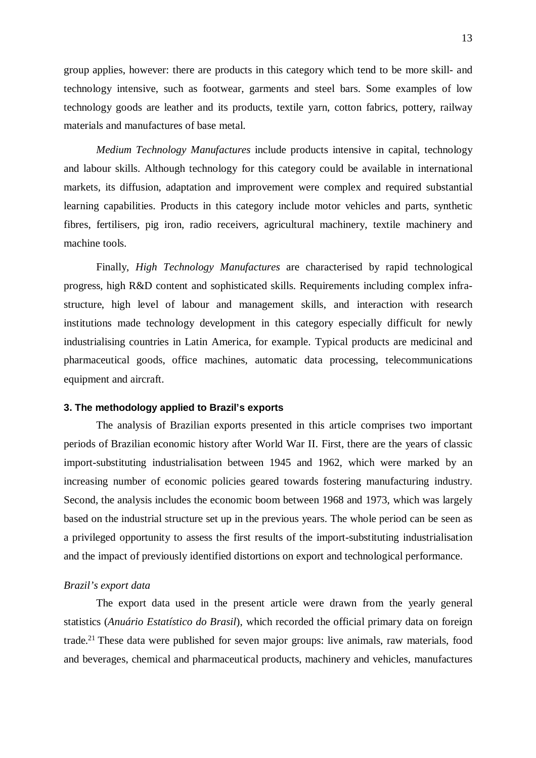group applies, however: there are products in this category which tend to be more skill- and technology intensive, such as footwear, garments and steel bars. Some examples of low technology goods are leather and its products, textile yarn, cotton fabrics, pottery, railway materials and manufactures of base metal.

*Medium Technology Manufactures* include products intensive in capital, technology and labour skills. Although technology for this category could be available in international markets, its diffusion, adaptation and improvement were complex and required substantial learning capabilities. Products in this category include motor vehicles and parts, synthetic fibres, fertilisers, pig iron, radio receivers, agricultural machinery, textile machinery and machine tools.

Finally, *High Technology Manufactures* are characterised by rapid technological progress, high R&D content and sophisticated skills. Requirements including complex infrastructure, high level of labour and management skills, and interaction with research institutions made technology development in this category especially difficult for newly industrialising countries in Latin America, for example. Typical products are medicinal and pharmaceutical goods, office machines, automatic data processing, telecommunications equipment and aircraft.

#### **3. The methodology applied to Brazil's exports**

The analysis of Brazilian exports presented in this article comprises two important periods of Brazilian economic history after World War II. First, there are the years of classic import-substituting industrialisation between 1945 and 1962, which were marked by an increasing number of economic policies geared towards fostering manufacturing industry. Second, the analysis includes the economic boom between 1968 and 1973, which was largely based on the industrial structure set up in the previous years. The whole period can be seen as a privileged opportunity to assess the first results of the import-substituting industrialisation and the impact of previously identified distortions on export and technological performance.

#### *Brazil's export data*

The export data used in the present article were drawn from the yearly general statistics (*Anuário Estatístico do Brasil*), which recorded the official primary data on foreign trade.21 These data were published for seven major groups: live animals, raw materials, food and beverages, chemical and pharmaceutical products, machinery and vehicles, manufactures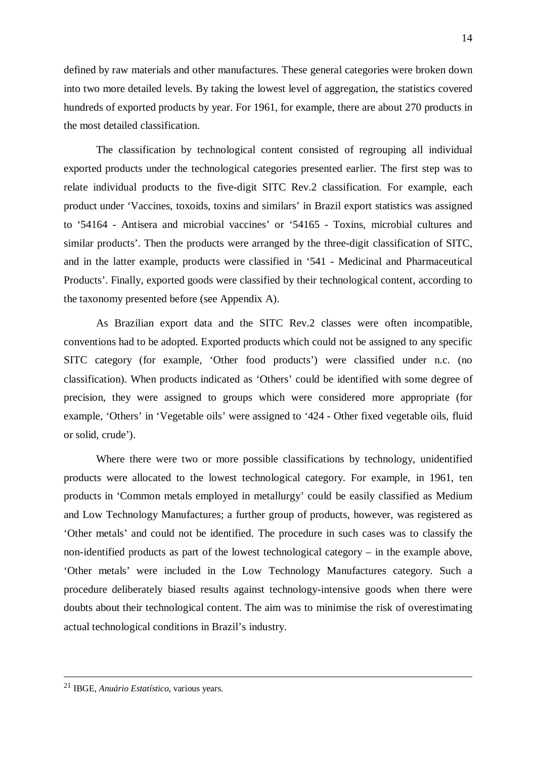defined by raw materials and other manufactures. These general categories were broken down into two more detailed levels. By taking the lowest level of aggregation, the statistics covered hundreds of exported products by year. For 1961, for example, there are about 270 products in the most detailed classification.

The classification by technological content consisted of regrouping all individual exported products under the technological categories presented earlier. The first step was to relate individual products to the five-digit SITC Rev.2 classification. For example, each product under 'Vaccines, toxoids, toxins and similars' in Brazil export statistics was assigned to '54164 - Antisera and microbial vaccines' or '54165 - Toxins, microbial cultures and similar products'. Then the products were arranged by the three-digit classification of SITC, and in the latter example, products were classified in '541 - Medicinal and Pharmaceutical Products'. Finally, exported goods were classified by their technological content, according to the taxonomy presented before (see Appendix A).

As Brazilian export data and the SITC Rev.2 classes were often incompatible, conventions had to be adopted. Exported products which could not be assigned to any specific SITC category (for example, 'Other food products') were classified under n.c. (no classification). When products indicated as 'Others' could be identified with some degree of precision, they were assigned to groups which were considered more appropriate (for example, 'Others' in 'Vegetable oils' were assigned to '424 - Other fixed vegetable oils, fluid or solid, crude').

Where there were two or more possible classifications by technology, unidentified products were allocated to the lowest technological category. For example, in 1961, ten products in 'Common metals employed in metallurgy' could be easily classified as Medium and Low Technology Manufactures; a further group of products, however, was registered as 'Other metals' and could not be identified. The procedure in such cases was to classify the non-identified products as part of the lowest technological category – in the example above, 'Other metals' were included in the Low Technology Manufactures category. Such a procedure deliberately biased results against technology-intensive goods when there were doubts about their technological content. The aim was to minimise the risk of overestimating actual technological conditions in Brazil's industry.

 <sup>21</sup> IBGE, *Anuário Estatístico*, various years.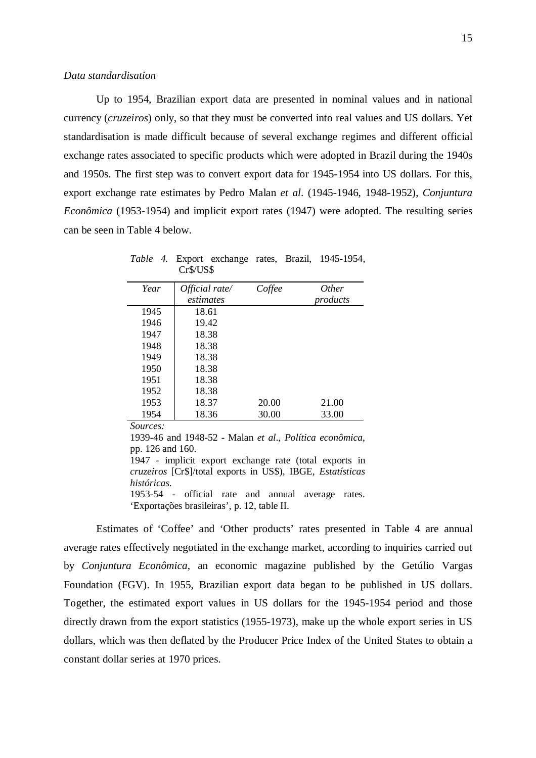Up to 1954, Brazilian export data are presented in nominal values and in national currency (*cruzeiros*) only, so that they must be converted into real values and US dollars. Yet standardisation is made difficult because of several exchange regimes and different official exchange rates associated to specific products which were adopted in Brazil during the 1940s and 1950s. The first step was to convert export data for 1945-1954 into US dollars. For this, export exchange rate estimates by Pedro Malan *et al*. (1945-1946, 1948-1952), *Conjuntura Econômica* (1953-1954) and implicit export rates (1947) were adopted. The resulting series can be seen in Table 4 below.

| Year | Official rate/ | Coffee | <i>Other</i> |
|------|----------------|--------|--------------|
|      | estimates      |        | products     |
| 1945 | 18.61          |        |              |
| 1946 | 19.42          |        |              |
| 1947 | 18.38          |        |              |
| 1948 | 18.38          |        |              |
| 1949 | 18.38          |        |              |
| 1950 | 18.38          |        |              |
| 1951 | 18.38          |        |              |
| 1952 | 18.38          |        |              |
| 1953 | 18.37          | 20.00  | 21.00        |
| 1954 | 18.36          | 30.00  | 33.00        |

*Table 4.* Export exchange rates, Brazil, 1945-1954, Cr\$/US\$

*Sources:*

1939-46 and 1948-52 - Malan *et al*., *Política econômica*, pp. 126 and 160. 1947 - implicit export exchange rate (total exports in *cruzeiros* [Cr\$]/total exports in US\$), IBGE, *Estatísticas históricas*.

1953-54 - official rate and annual average rates. 'Exportações brasileiras', p. 12, table II.

Estimates of 'Coffee' and 'Other products' rates presented in Table 4 are annual average rates effectively negotiated in the exchange market, according to inquiries carried out by *Conjuntura Econômica*, an economic magazine published by the Getúlio Vargas Foundation (FGV). In 1955, Brazilian export data began to be published in US dollars. Together, the estimated export values in US dollars for the 1945-1954 period and those directly drawn from the export statistics (1955-1973), make up the whole export series in US dollars, which was then deflated by the Producer Price Index of the United States to obtain a constant dollar series at 1970 prices.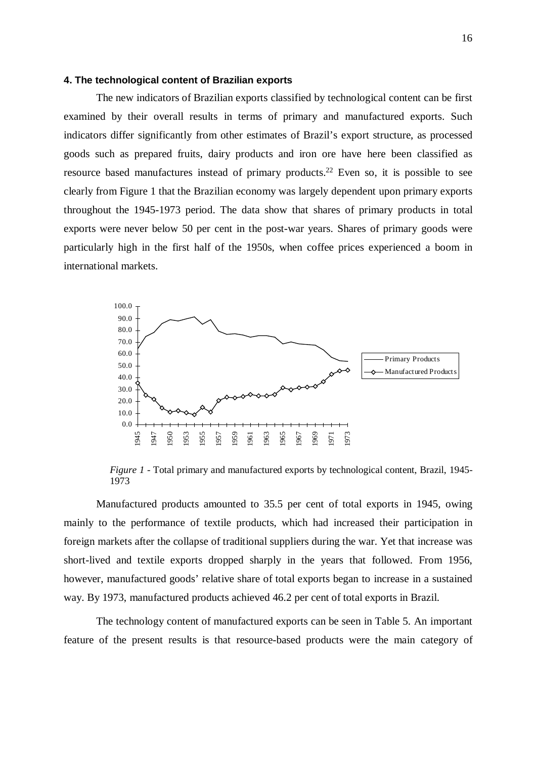## **4. The technological content of Brazilian exports**

The new indicators of Brazilian exports classified by technological content can be first examined by their overall results in terms of primary and manufactured exports. Such indicators differ significantly from other estimates of Brazil's export structure, as processed goods such as prepared fruits, dairy products and iron ore have here been classified as resource based manufactures instead of primary products.22 Even so, it is possible to see clearly from Figure 1 that the Brazilian economy was largely dependent upon primary exports throughout the 1945-1973 period. The data show that shares of primary products in total exports were never below 50 per cent in the post-war years. Shares of primary goods were particularly high in the first half of the 1950s, when coffee prices experienced a boom in international markets.



*Figure 1* - Total primary and manufactured exports by technological content, Brazil, 1945- 1973

Manufactured products amounted to 35.5 per cent of total exports in 1945, owing mainly to the performance of textile products, which had increased their participation in foreign markets after the collapse of traditional suppliers during the war. Yet that increase was short-lived and textile exports dropped sharply in the years that followed. From 1956, however, manufactured goods' relative share of total exports began to increase in a sustained way. By 1973, manufactured products achieved 46.2 per cent of total exports in Brazil.

The technology content of manufactured exports can be seen in Table 5. An important feature of the present results is that resource-based products were the main category of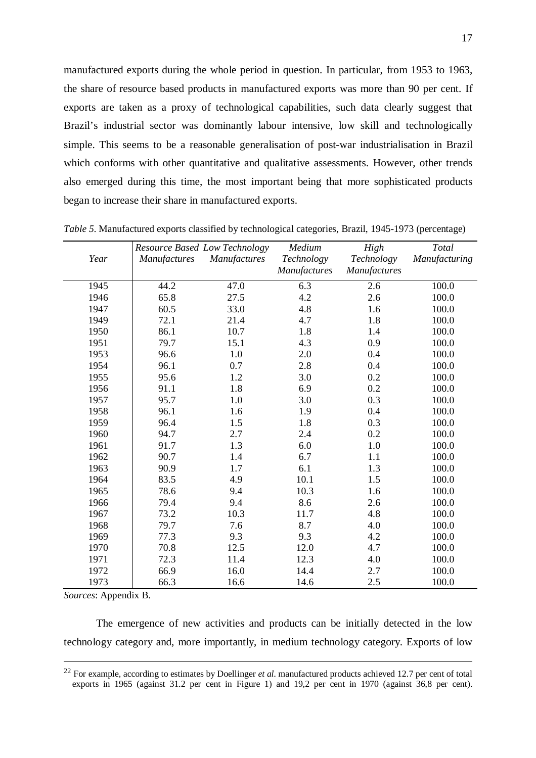manufactured exports during the whole period in question. In particular, from 1953 to 1963, the share of resource based products in manufactured exports was more than 90 per cent. If exports are taken as a proxy of technological capabilities, such data clearly suggest that Brazil's industrial sector was dominantly labour intensive, low skill and technologically simple. This seems to be a reasonable generalisation of post-war industrialisation in Brazil which conforms with other quantitative and qualitative assessments. However, other trends also emerged during this time, the most important being that more sophisticated products began to increase their share in manufactured exports.

|      |                     | Resource Based Low Technology | Medium              | High         | Total         |
|------|---------------------|-------------------------------|---------------------|--------------|---------------|
| Year | <b>Manufactures</b> | <b>Manufactures</b>           | Technology          | Technology   | Manufacturing |
|      |                     |                               | <b>Manufactures</b> | Manufactures |               |
| 1945 | 44.2                | 47.0                          | 6.3                 | 2.6          | 100.0         |
| 1946 | 65.8                | 27.5                          | 4.2                 | 2.6          | 100.0         |
| 1947 | 60.5                | 33.0                          | 4.8                 | 1.6          | 100.0         |
| 1949 | 72.1                | 21.4                          | 4.7                 | 1.8          | 100.0         |
| 1950 | 86.1                | 10.7                          | 1.8                 | 1.4          | 100.0         |
| 1951 | 79.7                | 15.1                          | 4.3                 | 0.9          | 100.0         |
| 1953 | 96.6                | 1.0                           | 2.0                 | 0.4          | 100.0         |
| 1954 | 96.1                | 0.7                           | 2.8                 | 0.4          | 100.0         |
| 1955 | 95.6                | 1.2                           | 3.0                 | 0.2          | 100.0         |
| 1956 | 91.1                | 1.8                           | 6.9                 | 0.2          | 100.0         |
| 1957 | 95.7                | $1.0\,$                       | 3.0                 | 0.3          | 100.0         |
| 1958 | 96.1                | 1.6                           | 1.9                 | 0.4          | 100.0         |
| 1959 | 96.4                | 1.5                           | 1.8                 | 0.3          | 100.0         |
| 1960 | 94.7                | 2.7                           | 2.4                 | 0.2          | 100.0         |
| 1961 | 91.7                | 1.3                           | 6.0                 | $1.0\,$      | 100.0         |
| 1962 | 90.7                | 1.4                           | 6.7                 | 1.1          | 100.0         |
| 1963 | 90.9                | 1.7                           | 6.1                 | 1.3          | 100.0         |
| 1964 | 83.5                | 4.9                           | 10.1                | 1.5          | 100.0         |
| 1965 | 78.6                | 9.4                           | 10.3                | 1.6          | 100.0         |
| 1966 | 79.4                | 9.4                           | 8.6                 | 2.6          | 100.0         |
| 1967 | 73.2                | 10.3                          | 11.7                | 4.8          | 100.0         |
| 1968 | 79.7                | 7.6                           | 8.7                 | 4.0          | 100.0         |
| 1969 | 77.3                | 9.3                           | 9.3                 | 4.2          | 100.0         |
| 1970 | 70.8                | 12.5                          | 12.0                | 4.7          | 100.0         |
| 1971 | 72.3                | 11.4                          | 12.3                | 4.0          | 100.0         |
| 1972 | 66.9                | 16.0                          | 14.4                | 2.7          | 100.0         |
| 1973 | 66.3                | 16.6                          | 14.6                | 2.5          | 100.0         |

*Table 5*. Manufactured exports classified by technological categories, Brazil, 1945-1973 (percentage)

*Sources*: Appendix B.

The emergence of new activities and products can be initially detected in the low technology category and, more importantly, in medium technology category. Exports of low

<sup>&</sup>lt;sup>22</sup> For example, according to estimates by Doellinger *et al.* manufactured products achieved 12.7 per cent of total exports in 1965 (against 31.2 per cent in Figure 1) and 19,2 per cent in 1970 (against 36,8 per cent).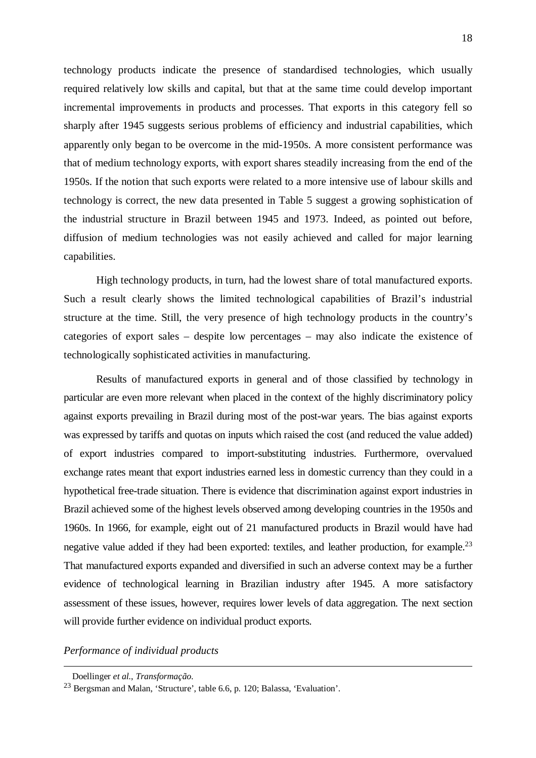technology products indicate the presence of standardised technologies, which usually required relatively low skills and capital, but that at the same time could develop important incremental improvements in products and processes. That exports in this category fell so sharply after 1945 suggests serious problems of efficiency and industrial capabilities, which apparently only began to be overcome in the mid-1950s. A more consistent performance was that of medium technology exports, with export shares steadily increasing from the end of the 1950s. If the notion that such exports were related to a more intensive use of labour skills and technology is correct, the new data presented in Table 5 suggest a growing sophistication of the industrial structure in Brazil between 1945 and 1973. Indeed, as pointed out before, diffusion of medium technologies was not easily achieved and called for major learning capabilities.

High technology products, in turn, had the lowest share of total manufactured exports. Such a result clearly shows the limited technological capabilities of Brazil's industrial structure at the time. Still, the very presence of high technology products in the country's categories of export sales – despite low percentages – may also indicate the existence of technologically sophisticated activities in manufacturing.

Results of manufactured exports in general and of those classified by technology in particular are even more relevant when placed in the context of the highly discriminatory policy against exports prevailing in Brazil during most of the post-war years. The bias against exports was expressed by tariffs and quotas on inputs which raised the cost (and reduced the value added) of export industries compared to import-substituting industries. Furthermore, overvalued exchange rates meant that export industries earned less in domestic currency than they could in a hypothetical free-trade situation. There is evidence that discrimination against export industries in Brazil achieved some of the highest levels observed among developing countries in the 1950s and 1960s. In 1966, for example, eight out of 21 manufactured products in Brazil would have had negative value added if they had been exported: textiles, and leather production, for example.<sup>23</sup> That manufactured exports expanded and diversified in such an adverse context may be a further evidence of technological learning in Brazilian industry after 1945. A more satisfactory assessment of these issues, however, requires lower levels of data aggregation. The next section will provide further evidence on individual product exports.

*Performance of individual products*

Doellinger *et al.*, *Transformação*.

<sup>23</sup> Bergsman and Malan, 'Structure', table 6.6, p. 120; Balassa, 'Evaluation'.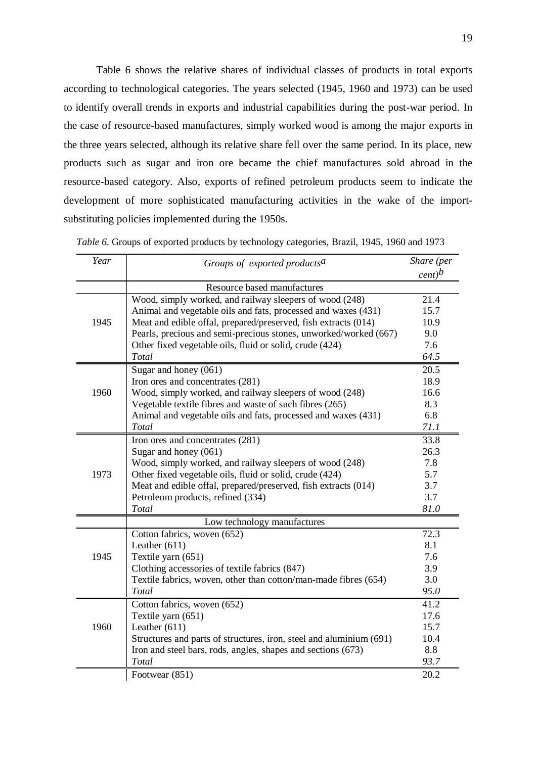Table 6 shows the relative shares of individual classes of products in total exports according to technological categories. The years selected (1945, 1960 and 1973) can be used to identify overall trends in exports and industrial capabilities during the post-war period. In the case of resource-based manufactures, simply worked wood is among the major exports in the three years selected, although its relative share fell over the same period. In its place, new products such as sugar and iron ore became the chief manufactures sold abroad in the resource-based category. Also, exports of refined petroleum products seem to indicate the development of more sophisticated manufacturing activities in the wake of the importsubstituting policies implemented during the 1950s.

| Year | Groups of exported products <sup>a</sup>                            | Share (per<br>$\frac{1}{2}$ |
|------|---------------------------------------------------------------------|-----------------------------|
|      | Resource based manufactures                                         |                             |
|      | Wood, simply worked, and railway sleepers of wood (248)             | 21.4                        |
|      | Animal and vegetable oils and fats, processed and waxes (431)       | 15.7                        |
| 1945 | Meat and edible offal, prepared/preserved, fish extracts (014)      | 10.9                        |
|      | Pearls, precious and semi-precious stones, unworked/worked (667)    | 9.0                         |
|      | Other fixed vegetable oils, fluid or solid, crude (424)             | 7.6                         |
|      | Total                                                               | 64.5                        |
|      | Sugar and honey (061)                                               | 20.5                        |
|      | Iron ores and concentrates (281)                                    | 18.9                        |
| 1960 | Wood, simply worked, and railway sleepers of wood (248)             | 16.6                        |
|      | Vegetable textile fibres and waste of such fibres (265)             | 8.3                         |
|      | Animal and vegetable oils and fats, processed and waxes (431)       | 6.8                         |
|      | Total                                                               | 71.1                        |
|      | Iron ores and concentrates (281)                                    | 33.8                        |
|      | Sugar and honey (061)                                               | 26.3                        |
|      | Wood, simply worked, and railway sleepers of wood (248)             | 7.8                         |
| 1973 | Other fixed vegetable oils, fluid or solid, crude (424)             | 5.7                         |
|      | Meat and edible offal, prepared/preserved, fish extracts (014)      | 3.7                         |
|      | Petroleum products, refined (334)                                   | 3.7                         |
|      | Total                                                               | 81.0                        |
|      | Low technology manufactures                                         |                             |
|      | Cotton fabrics, woven (652)                                         | 72.3                        |
|      | Leather $(611)$                                                     | 8.1                         |
| 1945 | Textile yarn (651)                                                  | 7.6                         |
|      | Clothing accessories of textile fabrics (847)                       | 3.9                         |
|      | Textile fabrics, woven, other than cotton/man-made fibres (654)     | 3.0                         |
|      | Total                                                               | 95.0                        |
|      | Cotton fabrics, woven (652)                                         | 41.2                        |
|      | Textile yarn (651)                                                  | 17.6                        |
| 1960 | Leather $(611)$                                                     | 15.7                        |
|      | Structures and parts of structures, iron, steel and aluminium (691) | 10.4                        |
|      | Iron and steel bars, rods, angles, shapes and sections (673)        | 8.8                         |
|      | Total                                                               | 93.7                        |
|      | Footwear (851)                                                      | 20.2                        |

| Table 6. Groups of exported products by technology categories, Brazil, 1945, 1960 and 1973 |  |  |  |  |  |
|--------------------------------------------------------------------------------------------|--|--|--|--|--|
|                                                                                            |  |  |  |  |  |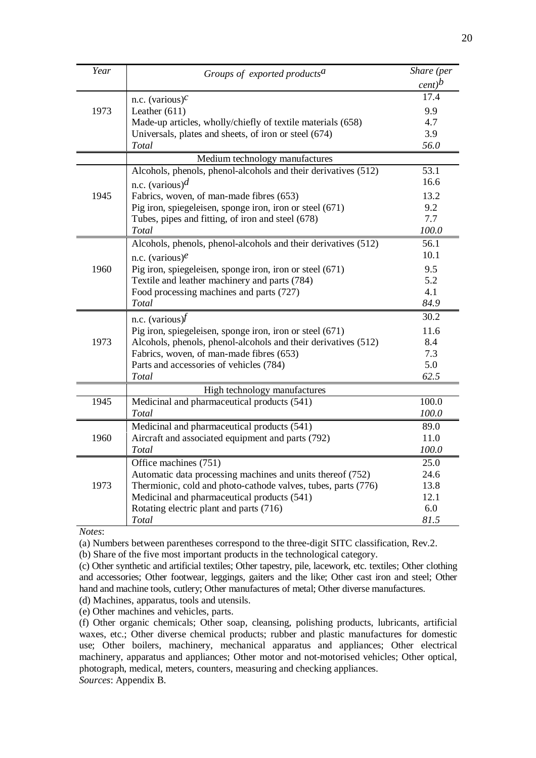| Year | Groups of exported products <sup>a</sup>                                                                     | Share (per    |
|------|--------------------------------------------------------------------------------------------------------------|---------------|
|      |                                                                                                              | $\frac{1}{c}$ |
|      | n.c. (various) $c$                                                                                           | 17.4          |
| 1973 | Leather $(611)$                                                                                              | 9.9           |
|      | Made-up articles, wholly/chiefly of textile materials (658)                                                  | 4.7           |
|      | Universals, plates and sheets, of iron or steel (674)                                                        | 3.9           |
|      | Total                                                                                                        | 56.0          |
|      | Medium technology manufactures                                                                               |               |
|      | Alcohols, phenols, phenol-alcohols and their derivatives (512)                                               | 53.1          |
|      | n.c. (various) $d$                                                                                           | 16.6          |
| 1945 | Fabrics, woven, of man-made fibres (653)                                                                     | 13.2          |
|      | Pig iron, spiegeleisen, sponge iron, iron or steel (671)                                                     | 9.2           |
|      | Tubes, pipes and fitting, of iron and steel (678)                                                            | 7.7           |
|      | Total                                                                                                        | 100.0         |
|      | Alcohols, phenols, phenol-alcohols and their derivatives (512)                                               | 56.1          |
|      | n.c. (various) $e$                                                                                           | 10.1          |
| 1960 | Pig iron, spiegeleisen, sponge iron, iron or steel (671)                                                     | 9.5           |
|      | Textile and leather machinery and parts (784)                                                                | 5.2           |
|      | Food processing machines and parts (727)                                                                     | 4.1           |
|      | Total                                                                                                        | 84.9          |
|      | n.c. (various) $\dot{t}$                                                                                     | 30.2          |
|      | Pig iron, spiegeleisen, sponge iron, iron or steel (671)                                                     | 11.6          |
| 1973 | Alcohols, phenols, phenol-alcohols and their derivatives (512)                                               | 8.4           |
|      | Fabrics, woven, of man-made fibres (653)                                                                     | 7.3           |
|      | Parts and accessories of vehicles (784)                                                                      | 5.0           |
|      | Total                                                                                                        | 62.5          |
|      | High technology manufactures                                                                                 |               |
| 1945 | Medicinal and pharmaceutical products (541)                                                                  | 100.0         |
|      | Total                                                                                                        | 100.0         |
|      | Medicinal and pharmaceutical products (541)                                                                  | 89.0          |
| 1960 | Aircraft and associated equipment and parts (792)                                                            | 11.0          |
|      | Total                                                                                                        | 100.0         |
|      | Office machines (751)                                                                                        | 25.0          |
|      | Automatic data processing machines and units thereof (752)                                                   | 24.6          |
| 1973 | Thermionic, cold and photo-cathode valves, tubes, parts (776)<br>Medicinal and pharmaceutical products (541) | 13.8<br>12.1  |
|      | Rotating electric plant and parts (716)                                                                      | 6.0           |
|      | Total                                                                                                        | 81.5          |
|      |                                                                                                              |               |

*Notes*:

(a) Numbers between parentheses correspond to the three-digit SITC classification, Rev.2.

(b) Share of the five most important products in the technological category.

(c) Other synthetic and artificial textiles; Other tapestry, pile, lacework, etc. textiles; Other clothing and accessories; Other footwear, leggings, gaiters and the like; Other cast iron and steel; Other hand and machine tools, cutlery; Other manufactures of metal; Other diverse manufactures.

(d) Machines, apparatus, tools and utensils.

(e) Other machines and vehicles, parts.

(f) Other organic chemicals; Other soap, cleansing, polishing products, lubricants, artificial waxes, etc.; Other diverse chemical products; rubber and plastic manufactures for domestic use; Other boilers, machinery, mechanical apparatus and appliances; Other electrical machinery, apparatus and appliances; Other motor and not-motorised vehicles; Other optical, photograph, medical, meters, counters, measuring and checking appliances. *Sources*: Appendix B.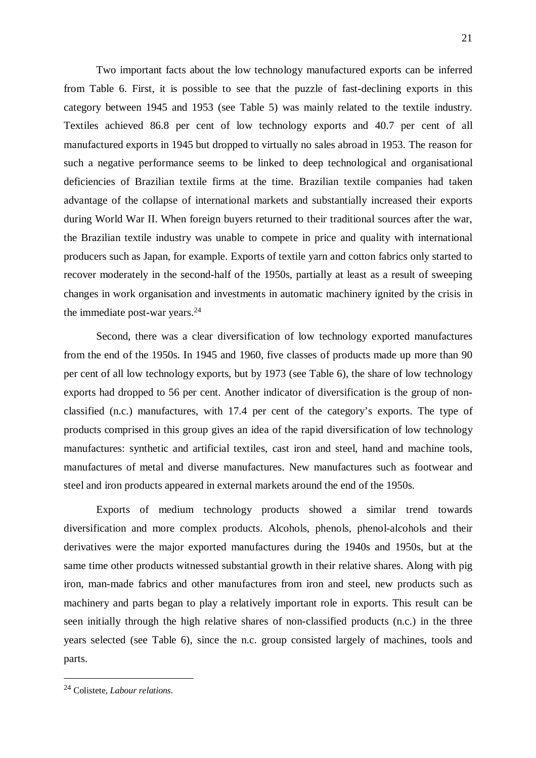Two important facts about the low technology manufactured exports can be inferred from Table 6. First, it is possible to see that the puzzle of fast-declining exports in this category between 1945 and 1953 (see Table 5) was mainly related to the textile industry. Textiles achieved 86.8 per cent of low technology exports and 40.7 per cent of all manufactured exports in 1945 but dropped to virtually no sales abroad in 1953. The reason for such a negative performance seems to be linked to deep technological and organisational deficiencies of Brazilian textile firms at the time. Brazilian textile companies had taken advantage of the collapse of international markets and substantially increased their exports during World War II. When foreign buyers returned to their traditional sources after the war, the Brazilian textile industry was unable to compete in price and quality with international producers such as Japan, for example. Exports of textile yarn and cotton fabrics only started to recover moderately in the second-half of the 1950s, partially at least as a result of sweeping changes in work organisation and investments in automatic machinery ignited by the crisis in the immediate post-war years.24

Second, there was a clear diversification of low technology exported manufactures from the end of the 1950s. In 1945 and 1960, five classes of products made up more than 90 per cent of all low technology exports, but by 1973 (see Table 6), the share of low technology exports had dropped to 56 per cent. Another indicator of diversification is the group of nonclassified (n.c.) manufactures, with 17.4 per cent of the category's exports. The type of products comprised in this group gives an idea of the rapid diversification of low technology manufactures: synthetic and artificial textiles, cast iron and steel, hand and machine tools, manufactures of metal and diverse manufactures. New manufactures such as footwear and steel and iron products appeared in external markets around the end of the 1950s.

Exports of medium technology products showed a similar trend towards diversification and more complex products. Alcohols, phenols, phenol-alcohols and their derivatives were the major exported manufactures during the 1940s and 1950s, but at the same time other products witnessed substantial growth in their relative shares. Along with pig iron, man-made fabrics and other manufactures from iron and steel, new products such as machinery and parts began to play a relatively important role in exports. This result can be seen initially through the high relative shares of non-classified products (n.c.) in the three years selected (see Table 6), since the n.c. group consisted largely of machines, tools and parts.

<sup>24</sup> Colistete, *Labour relations*.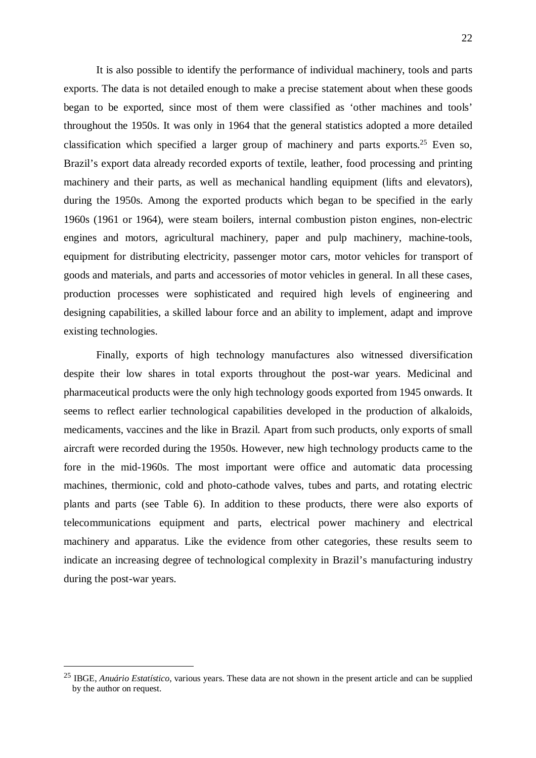It is also possible to identify the performance of individual machinery, tools and parts exports. The data is not detailed enough to make a precise statement about when these goods began to be exported, since most of them were classified as 'other machines and tools' throughout the 1950s. It was only in 1964 that the general statistics adopted a more detailed classification which specified a larger group of machinery and parts exports.<sup>25</sup> Even so, Brazil's export data already recorded exports of textile, leather, food processing and printing machinery and their parts, as well as mechanical handling equipment (lifts and elevators), during the 1950s. Among the exported products which began to be specified in the early 1960s (1961 or 1964), were steam boilers, internal combustion piston engines, non-electric engines and motors, agricultural machinery, paper and pulp machinery, machine-tools, equipment for distributing electricity, passenger motor cars, motor vehicles for transport of goods and materials, and parts and accessories of motor vehicles in general. In all these cases, production processes were sophisticated and required high levels of engineering and designing capabilities, a skilled labour force and an ability to implement, adapt and improve existing technologies.

Finally, exports of high technology manufactures also witnessed diversification despite their low shares in total exports throughout the post-war years. Medicinal and pharmaceutical products were the only high technology goods exported from 1945 onwards. It seems to reflect earlier technological capabilities developed in the production of alkaloids, medicaments, vaccines and the like in Brazil. Apart from such products, only exports of small aircraft were recorded during the 1950s. However, new high technology products came to the fore in the mid-1960s. The most important were office and automatic data processing machines, thermionic, cold and photo-cathode valves, tubes and parts, and rotating electric plants and parts (see Table 6). In addition to these products, there were also exports of telecommunications equipment and parts, electrical power machinery and electrical machinery and apparatus. Like the evidence from other categories, these results seem to indicate an increasing degree of technological complexity in Brazil's manufacturing industry during the post-war years.

<sup>25</sup> IBGE, *Anuário Estatístico*, various years. These data are not shown in the present article and can be supplied by the author on request.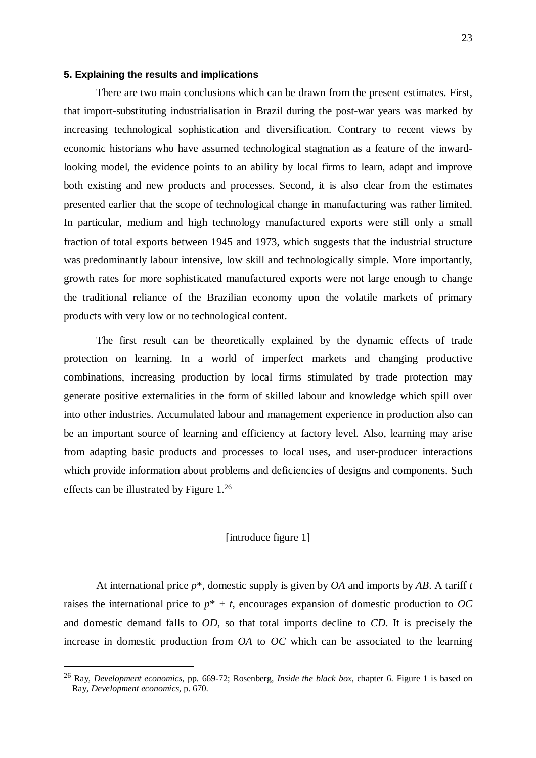# **5. Explaining the results and implications**

There are two main conclusions which can be drawn from the present estimates. First, that import-substituting industrialisation in Brazil during the post-war years was marked by increasing technological sophistication and diversification. Contrary to recent views by economic historians who have assumed technological stagnation as a feature of the inwardlooking model, the evidence points to an ability by local firms to learn, adapt and improve both existing and new products and processes. Second, it is also clear from the estimates presented earlier that the scope of technological change in manufacturing was rather limited. In particular, medium and high technology manufactured exports were still only a small fraction of total exports between 1945 and 1973, which suggests that the industrial structure was predominantly labour intensive, low skill and technologically simple. More importantly, growth rates for more sophisticated manufactured exports were not large enough to change the traditional reliance of the Brazilian economy upon the volatile markets of primary products with very low or no technological content.

The first result can be theoretically explained by the dynamic effects of trade protection on learning. In a world of imperfect markets and changing productive combinations, increasing production by local firms stimulated by trade protection may generate positive externalities in the form of skilled labour and knowledge which spill over into other industries. Accumulated labour and management experience in production also can be an important source of learning and efficiency at factory level. Also, learning may arise from adapting basic products and processes to local uses, and user-producer interactions which provide information about problems and deficiencies of designs and components. Such effects can be illustrated by Figure 1.26

# [introduce figure 1]

At international price *p*\*, domestic supply is given by *OA* and imports by *AB*. A tariff *t* raises the international price to  $p^* + t$ , encourages expansion of domestic production to OC and domestic demand falls to *OD*, so that total imports decline to *CD*. It is precisely the increase in domestic production from *OA* to *OC* which can be associated to the learning

<sup>26</sup> Ray, *Development economics*, pp. 669-72; Rosenberg, *Inside the black box*, chapter 6. Figure 1 is based on Ray, *Development economics*, p. 670.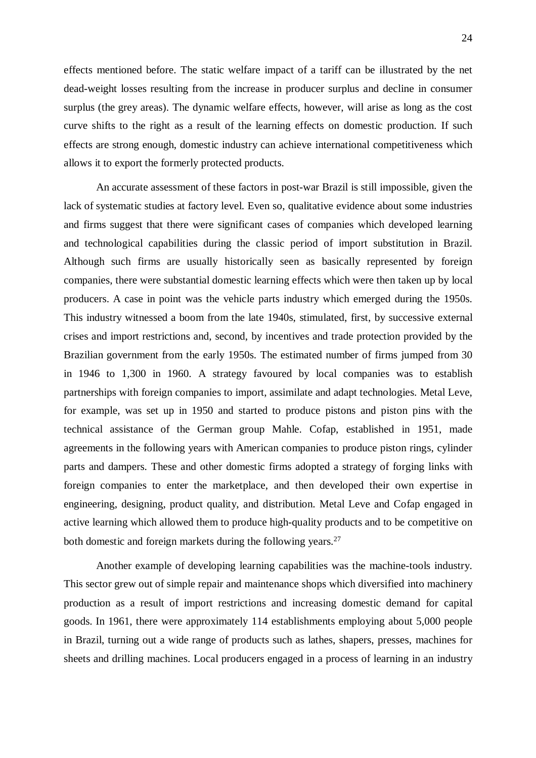effects mentioned before. The static welfare impact of a tariff can be illustrated by the net dead-weight losses resulting from the increase in producer surplus and decline in consumer surplus (the grey areas). The dynamic welfare effects, however, will arise as long as the cost curve shifts to the right as a result of the learning effects on domestic production. If such effects are strong enough, domestic industry can achieve international competitiveness which allows it to export the formerly protected products.

An accurate assessment of these factors in post-war Brazil is still impossible, given the lack of systematic studies at factory level. Even so, qualitative evidence about some industries and firms suggest that there were significant cases of companies which developed learning and technological capabilities during the classic period of import substitution in Brazil. Although such firms are usually historically seen as basically represented by foreign companies, there were substantial domestic learning effects which were then taken up by local producers. A case in point was the vehicle parts industry which emerged during the 1950s. This industry witnessed a boom from the late 1940s, stimulated, first, by successive external crises and import restrictions and, second, by incentives and trade protection provided by the Brazilian government from the early 1950s. The estimated number of firms jumped from 30 in 1946 to 1,300 in 1960. A strategy favoured by local companies was to establish partnerships with foreign companies to import, assimilate and adapt technologies. Metal Leve, for example, was set up in 1950 and started to produce pistons and piston pins with the technical assistance of the German group Mahle. Cofap, established in 1951, made agreements in the following years with American companies to produce piston rings, cylinder parts and dampers. These and other domestic firms adopted a strategy of forging links with foreign companies to enter the marketplace, and then developed their own expertise in engineering, designing, product quality, and distribution. Metal Leve and Cofap engaged in active learning which allowed them to produce high-quality products and to be competitive on both domestic and foreign markets during the following years.<sup>27</sup>

Another example of developing learning capabilities was the machine-tools industry. This sector grew out of simple repair and maintenance shops which diversified into machinery production as a result of import restrictions and increasing domestic demand for capital goods. In 1961, there were approximately 114 establishments employing about 5,000 people in Brazil, turning out a wide range of products such as lathes, shapers, presses, machines for sheets and drilling machines. Local producers engaged in a process of learning in an industry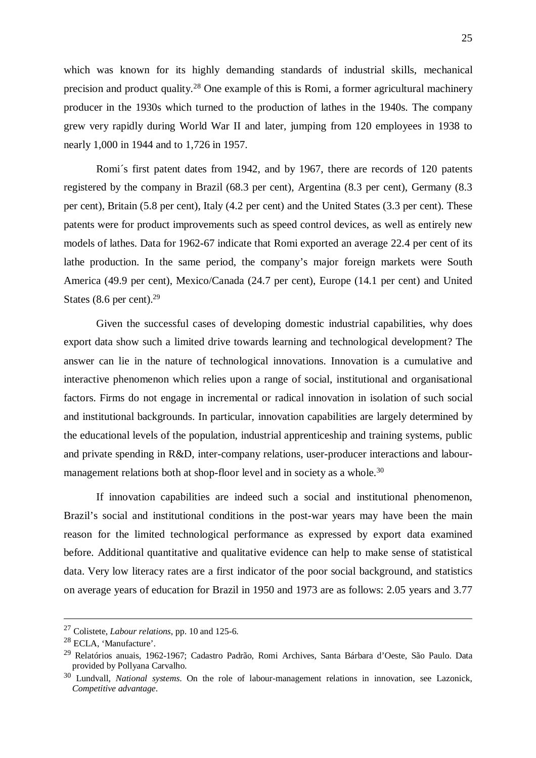which was known for its highly demanding standards of industrial skills, mechanical precision and product quality.28 One example of this is Romi, a former agricultural machinery producer in the 1930s which turned to the production of lathes in the 1940s. The company grew very rapidly during World War II and later, jumping from 120 employees in 1938 to nearly 1,000 in 1944 and to 1,726 in 1957.

Romi´s first patent dates from 1942, and by 1967, there are records of 120 patents registered by the company in Brazil (68.3 per cent), Argentina (8.3 per cent), Germany (8.3 per cent), Britain (5.8 per cent), Italy (4.2 per cent) and the United States (3.3 per cent). These patents were for product improvements such as speed control devices, as well as entirely new models of lathes. Data for 1962-67 indicate that Romi exported an average 22.4 per cent of its lathe production. In the same period, the company's major foreign markets were South America (49.9 per cent), Mexico/Canada (24.7 per cent), Europe (14.1 per cent) and United States (8.6 per cent). $29$ 

Given the successful cases of developing domestic industrial capabilities, why does export data show such a limited drive towards learning and technological development? The answer can lie in the nature of technological innovations. Innovation is a cumulative and interactive phenomenon which relies upon a range of social, institutional and organisational factors. Firms do not engage in incremental or radical innovation in isolation of such social and institutional backgrounds. In particular, innovation capabilities are largely determined by the educational levels of the population, industrial apprenticeship and training systems, public and private spending in R&D, inter-company relations, user-producer interactions and labourmanagement relations both at shop-floor level and in society as a whole.<sup>30</sup>

If innovation capabilities are indeed such a social and institutional phenomenon, Brazil's social and institutional conditions in the post-war years may have been the main reason for the limited technological performance as expressed by export data examined before. Additional quantitative and qualitative evidence can help to make sense of statistical data. Very low literacy rates are a first indicator of the poor social background, and statistics on average years of education for Brazil in 1950 and 1973 are as follows: 2.05 years and 3.77

 <sup>27</sup> Colistete, *Labour relations*, pp. 10 and 125-6.

<sup>28</sup> ECLA, 'Manufacture'.

<sup>29</sup> Relatórios anuais, 1962-1967; Cadastro Padrão, Romi Archives, Santa Bárbara d'Oeste, São Paulo. Data provided by Pollyana Carvalho.

<sup>30</sup> Lundvall, *National systems*. On the role of labour-management relations in innovation, see Lazonick, *Competitive advantage*.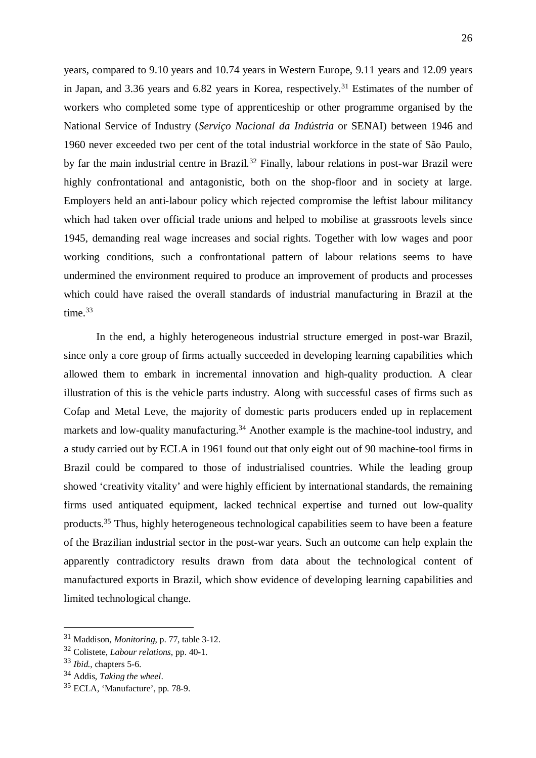years, compared to 9.10 years and 10.74 years in Western Europe, 9.11 years and 12.09 years in Japan, and 3.36 years and 6.82 years in Korea, respectively.<sup>31</sup> Estimates of the number of workers who completed some type of apprenticeship or other programme organised by the National Service of Industry (*Serviço Nacional da Indústria* or SENAI) between 1946 and 1960 never exceeded two per cent of the total industrial workforce in the state of São Paulo, by far the main industrial centre in Brazil.<sup>32</sup> Finally, labour relations in post-war Brazil were highly confrontational and antagonistic, both on the shop-floor and in society at large. Employers held an anti-labour policy which rejected compromise the leftist labour militancy which had taken over official trade unions and helped to mobilise at grassroots levels since 1945, demanding real wage increases and social rights. Together with low wages and poor working conditions, such a confrontational pattern of labour relations seems to have undermined the environment required to produce an improvement of products and processes which could have raised the overall standards of industrial manufacturing in Brazil at the time.33

In the end, a highly heterogeneous industrial structure emerged in post-war Brazil, since only a core group of firms actually succeeded in developing learning capabilities which allowed them to embark in incremental innovation and high-quality production. A clear illustration of this is the vehicle parts industry. Along with successful cases of firms such as Cofap and Metal Leve, the majority of domestic parts producers ended up in replacement markets and low-quality manufacturing.<sup>34</sup> Another example is the machine-tool industry, and a study carried out by ECLA in 1961 found out that only eight out of 90 machine-tool firms in Brazil could be compared to those of industrialised countries. While the leading group showed 'creativity vitality' and were highly efficient by international standards, the remaining firms used antiquated equipment, lacked technical expertise and turned out low-quality products.35 Thus, highly heterogeneous technological capabilities seem to have been a feature of the Brazilian industrial sector in the post-war years. Such an outcome can help explain the apparently contradictory results drawn from data about the technological content of manufactured exports in Brazil, which show evidence of developing learning capabilities and limited technological change.

<sup>31</sup> Maddison, *Monitoring*, p. 77, table 3-12.

<sup>32</sup> Colistete, *Labour relations*, pp. 40-1.

<sup>33</sup> *Ibid.*, chapters 5-6.

<sup>34</sup> Addis, *Taking the wheel*.

<sup>35</sup> ECLA, 'Manufacture', pp. 78-9.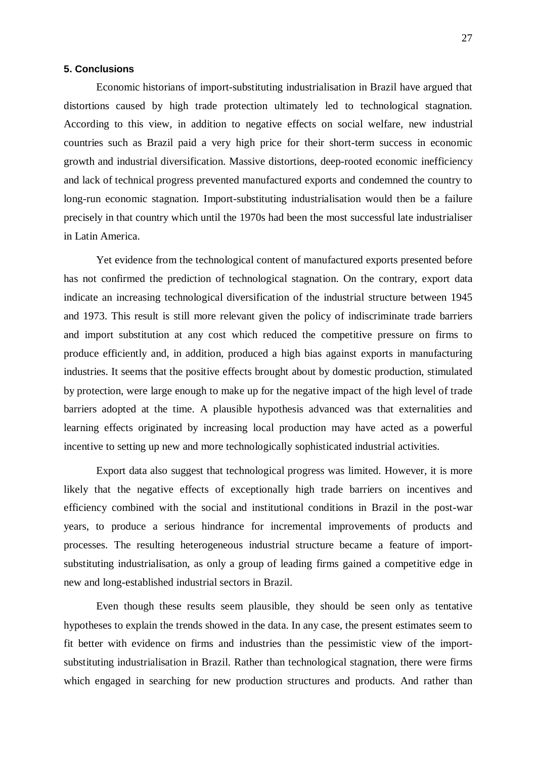#### **5. Conclusions**

Economic historians of import-substituting industrialisation in Brazil have argued that distortions caused by high trade protection ultimately led to technological stagnation. According to this view, in addition to negative effects on social welfare, new industrial countries such as Brazil paid a very high price for their short-term success in economic growth and industrial diversification. Massive distortions, deep-rooted economic inefficiency and lack of technical progress prevented manufactured exports and condemned the country to long-run economic stagnation. Import-substituting industrialisation would then be a failure precisely in that country which until the 1970s had been the most successful late industrialiser in Latin America.

Yet evidence from the technological content of manufactured exports presented before has not confirmed the prediction of technological stagnation. On the contrary, export data indicate an increasing technological diversification of the industrial structure between 1945 and 1973. This result is still more relevant given the policy of indiscriminate trade barriers and import substitution at any cost which reduced the competitive pressure on firms to produce efficiently and, in addition, produced a high bias against exports in manufacturing industries. It seems that the positive effects brought about by domestic production, stimulated by protection, were large enough to make up for the negative impact of the high level of trade barriers adopted at the time. A plausible hypothesis advanced was that externalities and learning effects originated by increasing local production may have acted as a powerful incentive to setting up new and more technologically sophisticated industrial activities.

Export data also suggest that technological progress was limited. However, it is more likely that the negative effects of exceptionally high trade barriers on incentives and efficiency combined with the social and institutional conditions in Brazil in the post-war years, to produce a serious hindrance for incremental improvements of products and processes. The resulting heterogeneous industrial structure became a feature of importsubstituting industrialisation, as only a group of leading firms gained a competitive edge in new and long-established industrial sectors in Brazil.

Even though these results seem plausible, they should be seen only as tentative hypotheses to explain the trends showed in the data. In any case, the present estimates seem to fit better with evidence on firms and industries than the pessimistic view of the importsubstituting industrialisation in Brazil. Rather than technological stagnation, there were firms which engaged in searching for new production structures and products. And rather than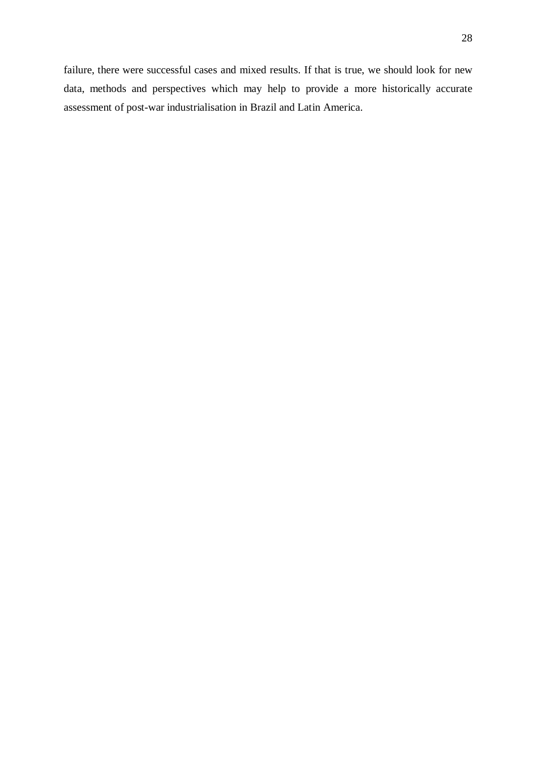failure, there were successful cases and mixed results. If that is true, we should look for new data, methods and perspectives which may help to provide a more historically accurate assessment of post-war industrialisation in Brazil and Latin America.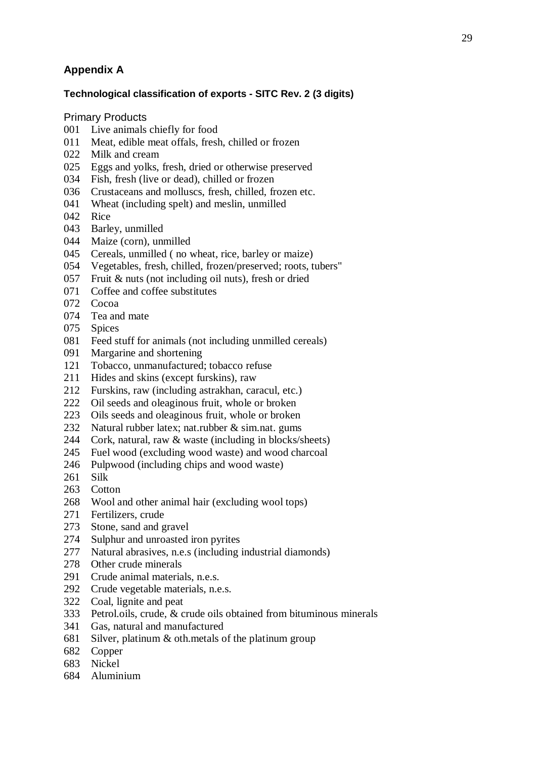# **Appendix A**

# **Technological classification of exports - SITC Rev. 2 (3 digits)**

Primary Products

- 001 Live animals chiefly for food
- 011 Meat, edible meat offals, fresh, chilled or frozen
- 022 Milk and cream
- 025 Eggs and yolks, fresh, dried or otherwise preserved
- 034 Fish, fresh (live or dead), chilled or frozen
- 036 Crustaceans and molluscs, fresh, chilled, frozen etc.
- 041 Wheat (including spelt) and meslin, unmilled
- 042 Rice
- 043 Barley, unmilled
- 044 Maize (corn), unmilled
- 045 Cereals, unmilled ( no wheat, rice, barley or maize)
- 054 Vegetables, fresh, chilled, frozen/preserved; roots, tubers"
- 057 Fruit & nuts (not including oil nuts), fresh or dried
- 071 Coffee and coffee substitutes
- 072 Cocoa
- 074 Tea and mate
- 075 Spices
- 081 Feed stuff for animals (not including unmilled cereals)
- 091 Margarine and shortening
- 121 Tobacco, unmanufactured; tobacco refuse
- 211 Hides and skins (except furskins), raw
- 212 Furskins, raw (including astrakhan, caracul, etc.)
- 222 Oil seeds and oleaginous fruit, whole or broken
- 223 Oils seeds and oleaginous fruit, whole or broken
- 232 Natural rubber latex; nat.rubber & sim.nat. gums
- 244 Cork, natural, raw & waste (including in blocks/sheets)
- 245 Fuel wood (excluding wood waste) and wood charcoal
- 246 Pulpwood (including chips and wood waste)
- 261 Silk
- 263 Cotton
- 268 Wool and other animal hair (excluding wool tops)
- 271 Fertilizers, crude
- 273 Stone, sand and gravel
- 274 Sulphur and unroasted iron pyrites
- 277 Natural abrasives, n.e.s (including industrial diamonds)
- 278 Other crude minerals
- 291 Crude animal materials, n.e.s.
- 292 Crude vegetable materials, n.e.s.
- 322 Coal, lignite and peat
- 333 Petrol.oils, crude, & crude oils obtained from bituminous minerals
- 341 Gas, natural and manufactured
- 681 Silver, platinum & oth.metals of the platinum group
- 682 Copper
- 683 Nickel
- 684 Aluminium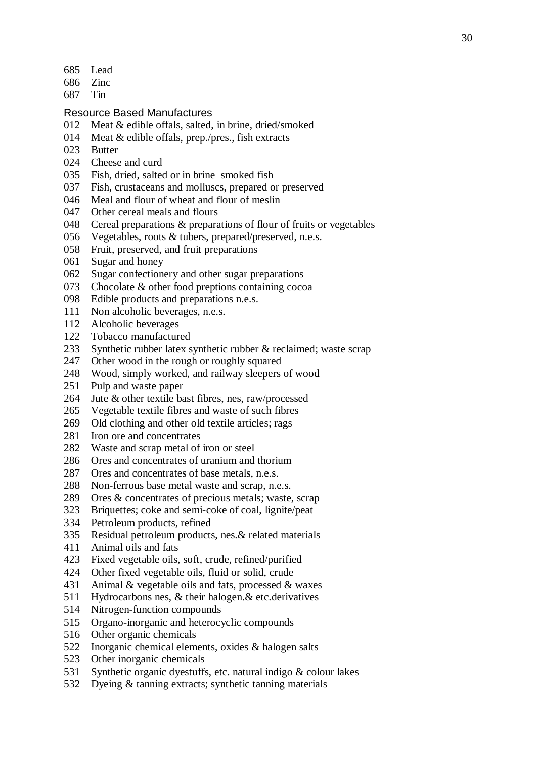- 685 Lead
- 686 Zinc
- 687 Tin
- Resource Based Manufactures
- 012 Meat & edible offals, salted, in brine, dried/smoked
- 014 Meat & edible offals, prep./pres., fish extracts
- 023 Butter
- 024 Cheese and curd
- 035 Fish, dried, salted or in brine smoked fish
- 037 Fish, crustaceans and molluscs, prepared or preserved
- 046 Meal and flour of wheat and flour of meslin
- 047 Other cereal meals and flours
- 048 Cereal preparations & preparations of flour of fruits or vegetables
- 056 Vegetables, roots & tubers, prepared/preserved, n.e.s.
- 058 Fruit, preserved, and fruit preparations
- 061 Sugar and honey
- 062 Sugar confectionery and other sugar preparations
- 073 Chocolate & other food preptions containing cocoa
- 098 Edible products and preparations n.e.s.
- 111 Non alcoholic beverages, n.e.s.
- 112 Alcoholic beverages
- 122 Tobacco manufactured
- 233 Synthetic rubber latex synthetic rubber & reclaimed; waste scrap
- 247 Other wood in the rough or roughly squared
- 248 Wood, simply worked, and railway sleepers of wood
- 251 Pulp and waste paper
- 264 Jute & other textile bast fibres, nes, raw/processed
- 265 Vegetable textile fibres and waste of such fibres
- 269 Old clothing and other old textile articles; rags
- 281 Iron ore and concentrates
- 282 Waste and scrap metal of iron or steel
- 286 Ores and concentrates of uranium and thorium
- 287 Ores and concentrates of base metals, n.e.s.
- 288 Non-ferrous base metal waste and scrap, n.e.s.
- 289 Ores & concentrates of precious metals; waste, scrap
- 323 Briquettes; coke and semi-coke of coal, lignite/peat
- 334 Petroleum products, refined
- 335 Residual petroleum products, nes.& related materials
- 411 Animal oils and fats
- 423 Fixed vegetable oils, soft, crude, refined/purified
- 424 Other fixed vegetable oils, fluid or solid, crude
- 431 Animal & vegetable oils and fats, processed & waxes
- 511 Hydrocarbons nes, & their halogen.& etc.derivatives
- 514 Nitrogen-function compounds
- 515 Organo-inorganic and heterocyclic compounds
- 516 Other organic chemicals
- 522 Inorganic chemical elements, oxides & halogen salts
- 523 Other inorganic chemicals
- 531 Synthetic organic dyestuffs, etc. natural indigo & colour lakes
- 532 Dyeing & tanning extracts; synthetic tanning materials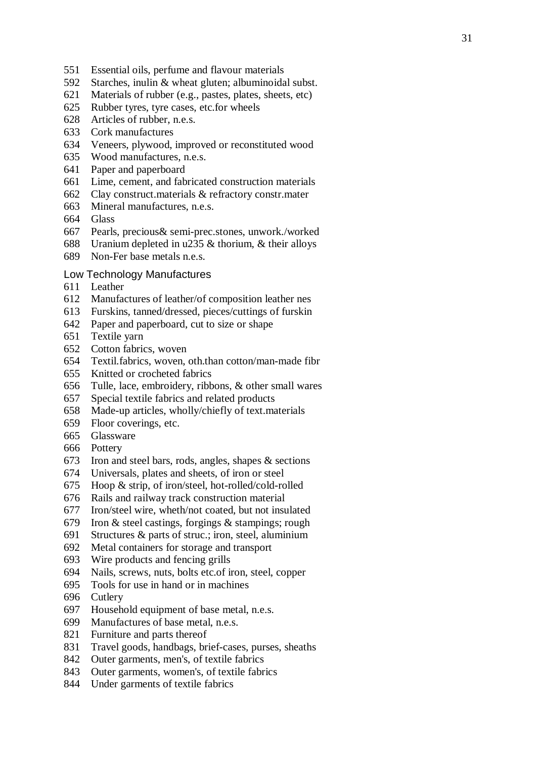- 551 Essential oils, perfume and flavour materials
- 592 Starches, inulin & wheat gluten; albuminoidal subst.
- 621 Materials of rubber (e.g., pastes, plates, sheets, etc)
- 625 Rubber tyres, tyre cases, etc.for wheels
- 628 Articles of rubber, n.e.s.
- 633 Cork manufactures
- 634 Veneers, plywood, improved or reconstituted wood
- 635 Wood manufactures, n.e.s.
- 641 Paper and paperboard
- 661 Lime, cement, and fabricated construction materials
- 662 Clay construct.materials & refractory constr.mater
- 663 Mineral manufactures, n.e.s.
- 664 Glass
- 667 Pearls, precious& semi-prec.stones, unwork./worked
- 688 Uranium depleted in u235 & thorium, & their alloys
- 689 Non-Fer base metals n.e.s.

# Low Technology Manufactures

- 611 Leather
- 612 Manufactures of leather/of composition leather nes
- 613 Furskins, tanned/dressed, pieces/cuttings of furskin
- 642 Paper and paperboard, cut to size or shape
- 651 Textile yarn
- 652 Cotton fabrics, woven
- 654 Textil.fabrics, woven, oth.than cotton/man-made fibr
- 655 Knitted or crocheted fabrics
- 656 Tulle, lace, embroidery, ribbons, & other small wares
- 657 Special textile fabrics and related products
- 658 Made-up articles, wholly/chiefly of text.materials
- 659 Floor coverings, etc.
- 665 Glassware
- 666 Pottery
- 673 Iron and steel bars, rods, angles, shapes & sections
- 674 Universals, plates and sheets, of iron or steel
- 675 Hoop & strip, of iron/steel, hot-rolled/cold-rolled
- 676 Rails and railway track construction material
- 677 Iron/steel wire, wheth/not coated, but not insulated
- 679 Iron & steel castings, forgings & stampings; rough
- 691 Structures & parts of struc.; iron, steel, aluminium
- 692 Metal containers for storage and transport
- 693 Wire products and fencing grills
- 694 Nails, screws, nuts, bolts etc.of iron, steel, copper
- 695 Tools for use in hand or in machines
- 696 Cutlery
- 697 Household equipment of base metal, n.e.s.
- 699 Manufactures of base metal, n.e.s.
- 821 Furniture and parts thereof
- 831 Travel goods, handbags, brief-cases, purses, sheaths
- 842 Outer garments, men's, of textile fabrics
- 843 Outer garments, women's, of textile fabrics
- 844 Under garments of textile fabrics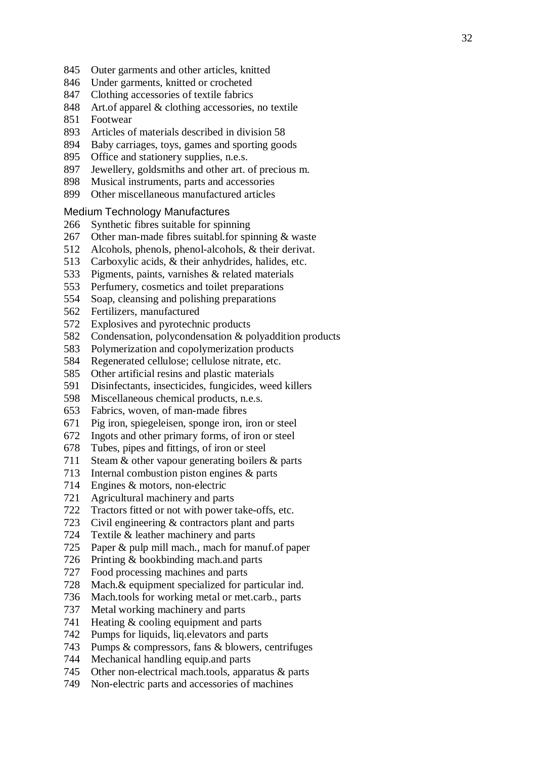- 845 Outer garments and other articles, knitted
- 846 Under garments, knitted or crocheted
- 847 Clothing accessories of textile fabrics
- 848 Art.of apparel & clothing accessories, no textile
- 851 Footwear
- 893 Articles of materials described in division 58
- 894 Baby carriages, toys, games and sporting goods
- 895 Office and stationery supplies, n.e.s.
- 897 Jewellery, goldsmiths and other art. of precious m.
- 898 Musical instruments, parts and accessories
- 899 Other miscellaneous manufactured articles

# Medium Technology Manufactures

- 266 Synthetic fibres suitable for spinning
- 267 Other man-made fibres suitabl.for spinning & waste
- 512 Alcohols, phenols, phenol-alcohols, & their derivat.
- 513 Carboxylic acids, & their anhydrides, halides, etc.
- 533 Pigments, paints, varnishes & related materials
- 553 Perfumery, cosmetics and toilet preparations
- 554 Soap, cleansing and polishing preparations
- 562 Fertilizers, manufactured
- 572 Explosives and pyrotechnic products
- 582 Condensation, polycondensation & polyaddition products
- 583 Polymerization and copolymerization products
- 584 Regenerated cellulose; cellulose nitrate, etc.
- 585 Other artificial resins and plastic materials
- 591 Disinfectants, insecticides, fungicides, weed killers
- 598 Miscellaneous chemical products, n.e.s.
- 653 Fabrics, woven, of man-made fibres
- 671 Pig iron, spiegeleisen, sponge iron, iron or steel
- 672 Ingots and other primary forms, of iron or steel
- 678 Tubes, pipes and fittings, of iron or steel
- 711 Steam & other vapour generating boilers & parts
- 713 Internal combustion piston engines & parts
- 714 Engines & motors, non-electric
- 721 Agricultural machinery and parts
- 722 Tractors fitted or not with power take-offs, etc.
- 723 Civil engineering & contractors plant and parts
- 724 Textile & leather machinery and parts
- 725 Paper & pulp mill mach., mach for manuf.of paper
- 726 Printing & bookbinding mach.and parts
- 727 Food processing machines and parts
- 728 Mach.& equipment specialized for particular ind.
- 736 Mach.tools for working metal or met.carb., parts
- 737 Metal working machinery and parts
- 741 Heating & cooling equipment and parts
- 742 Pumps for liquids, liq.elevators and parts
- 743 Pumps & compressors, fans & blowers, centrifuges
- 744 Mechanical handling equip.and parts
- 745 Other non-electrical mach.tools, apparatus & parts
- 749 Non-electric parts and accessories of machines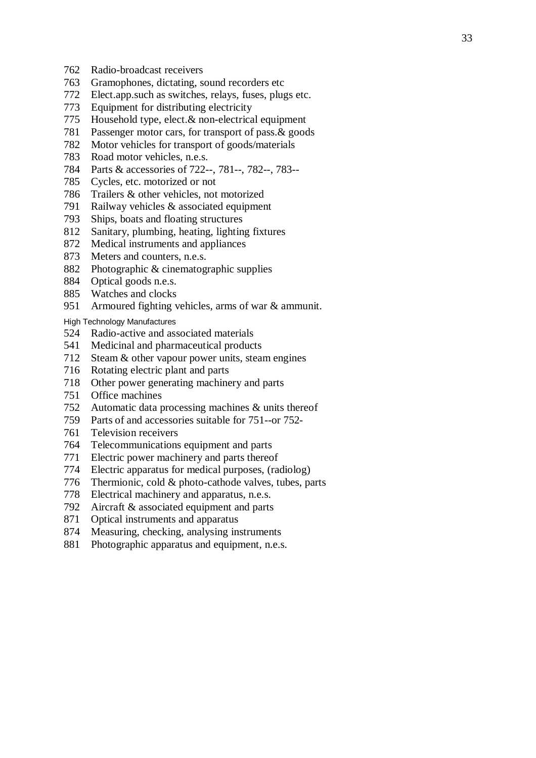- 762 Radio-broadcast receivers
- 763 Gramophones, dictating, sound recorders etc
- 772 Elect.app.such as switches, relays, fuses, plugs etc.
- 773 Equipment for distributing electricity
- 775 Household type, elect.& non-electrical equipment
- 781 Passenger motor cars, for transport of pass.& goods
- 782 Motor vehicles for transport of goods/materials
- 783 Road motor vehicles, n.e.s.
- 784 Parts & accessories of 722--, 781--, 782--, 783--
- 785 Cycles, etc. motorized or not
- 786 Trailers & other vehicles, not motorized
- 791 Railway vehicles & associated equipment
- 793 Ships, boats and floating structures
- 812 Sanitary, plumbing, heating, lighting fixtures
- 872 Medical instruments and appliances
- 873 Meters and counters, n.e.s.
- 882 Photographic & cinematographic supplies
- 884 Optical goods n.e.s.
- 885 Watches and clocks
- 951 Armoured fighting vehicles, arms of war & ammunit.

High Technology Manufactures

- 524 Radio-active and associated materials
- 541 Medicinal and pharmaceutical products
- 712 Steam & other vapour power units, steam engines
- 716 Rotating electric plant and parts
- 718 Other power generating machinery and parts
- 751 Office machines
- 752 Automatic data processing machines & units thereof
- 759 Parts of and accessories suitable for 751--or 752-
- 761 Television receivers
- 764 Telecommunications equipment and parts
- 771 Electric power machinery and parts thereof
- 774 Electric apparatus for medical purposes, (radiolog)
- 776 Thermionic, cold & photo-cathode valves, tubes, parts
- 778 Electrical machinery and apparatus, n.e.s.
- 792 Aircraft & associated equipment and parts
- 871 Optical instruments and apparatus
- 874 Measuring, checking, analysing instruments
- 881 Photographic apparatus and equipment, n.e.s.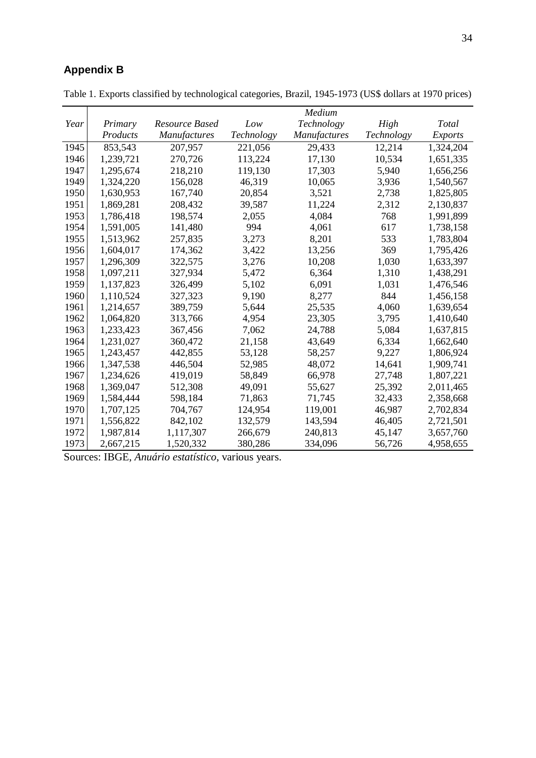# **Appendix B**

|      |           |                |            | Medium       |            |                |
|------|-----------|----------------|------------|--------------|------------|----------------|
| Year | Primary   | Resource Based | Low        | Technology   | High       | Total          |
|      | Products  | Manufactures   | Technology | Manufactures | Technology | <b>Exports</b> |
| 1945 | 853,543   | 207,957        | 221,056    | 29,433       | 12,214     | 1,324,204      |
| 1946 | 1,239,721 | 270,726        | 113,224    | 17,130       | 10,534     | 1,651,335      |
| 1947 | 1,295,674 | 218,210        | 119,130    | 17,303       | 5,940      | 1,656,256      |
| 1949 | 1,324,220 | 156,028        | 46,319     | 10,065       | 3,936      | 1,540,567      |
| 1950 | 1,630,953 | 167,740        | 20,854     | 3,521        | 2,738      | 1,825,805      |
| 1951 | 1,869,281 | 208,432        | 39,587     | 11,224       | 2,312      | 2,130,837      |
| 1953 | 1,786,418 | 198,574        | 2,055      | 4,084        | 768        | 1,991,899      |
| 1954 | 1,591,005 | 141,480        | 994        | 4,061        | 617        | 1,738,158      |
| 1955 | 1,513,962 | 257,835        | 3,273      | 8,201        | 533        | 1,783,804      |
| 1956 | 1,604,017 | 174,362        | 3,422      | 13,256       | 369        | 1,795,426      |
| 1957 | 1,296,309 | 322,575        | 3,276      | 10,208       | 1,030      | 1,633,397      |
| 1958 | 1,097,211 | 327,934        | 5,472      | 6,364        | 1,310      | 1,438,291      |
| 1959 | 1,137,823 | 326,499        | 5,102      | 6,091        | 1,031      | 1,476,546      |
| 1960 | 1,110,524 | 327,323        | 9,190      | 8,277        | 844        | 1,456,158      |
| 1961 | 1,214,657 | 389,759        | 5,644      | 25,535       | 4,060      | 1,639,654      |
| 1962 | 1,064,820 | 313,766        | 4,954      | 23,305       | 3,795      | 1,410,640      |
| 1963 | 1,233,423 | 367,456        | 7,062      | 24,788       | 5,084      | 1,637,815      |
| 1964 | 1,231,027 | 360,472        | 21,158     | 43,649       | 6,334      | 1,662,640      |
| 1965 | 1,243,457 | 442,855        | 53,128     | 58,257       | 9,227      | 1,806,924      |
| 1966 | 1,347,538 | 446,504        | 52,985     | 48,072       | 14,641     | 1,909,741      |
| 1967 | 1,234,626 | 419,019        | 58,849     | 66,978       | 27,748     | 1,807,221      |
| 1968 | 1,369,047 | 512,308        | 49,091     | 55,627       | 25,392     | 2,011,465      |
| 1969 | 1,584,444 | 598,184        | 71,863     | 71,745       | 32,433     | 2,358,668      |
| 1970 | 1,707,125 | 704,767        | 124,954    | 119,001      | 46,987     | 2,702,834      |
| 1971 | 1,556,822 | 842,102        | 132,579    | 143,594      | 46,405     | 2,721,501      |
| 1972 | 1,987,814 | 1,117,307      | 266,679    | 240,813      | 45,147     | 3,657,760      |
| 1973 | 2,667,215 | 1,520,332      | 380,286    | 334,096      | 56,726     | 4,958,655      |

Table 1. Exports classified by technological categories, Brazil, 1945-1973 (US\$ dollars at 1970 prices)

Sources: IBGE, *Anuário estatístico*, various years.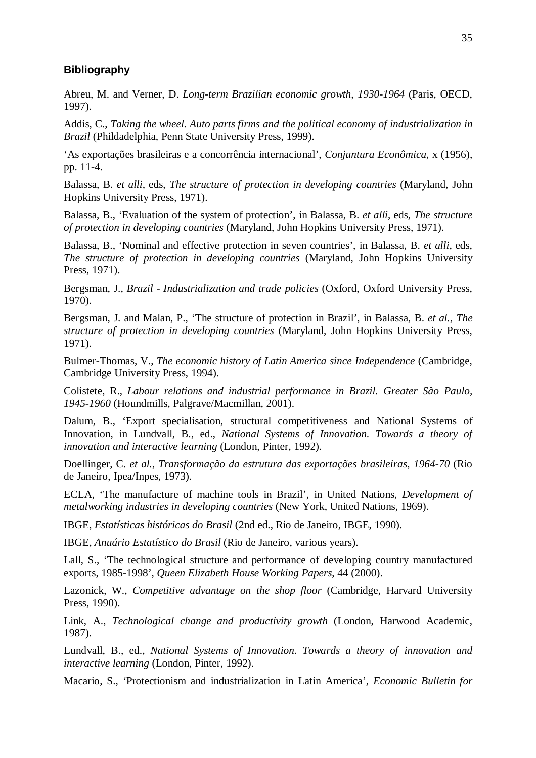# **Bibliography**

Abreu, M. and Verner, D. *Long-term Brazilian economic growth, 1930-1964* (Paris, OECD, 1997).

Addis, C., *Taking the wheel. Auto parts firms and the political economy of industrialization in Brazil* (Phildadelphia, Penn State University Press, 1999).

'As exportações brasileiras e a concorrência internacional', *Conjuntura Econômica*, x (1956), pp. 11-4.

Balassa, B. *et alli*, eds, *The structure of protection in developing countries* (Maryland, John Hopkins University Press, 1971).

Balassa, B., 'Evaluation of the system of protection', in Balassa, B. *et alli*, eds, *The structure of protection in developing countries* (Maryland, John Hopkins University Press, 1971).

Balassa, B., 'Nominal and effective protection in seven countries', in Balassa, B. *et alli*, eds, *The structure of protection in developing countries* (Maryland, John Hopkins University Press, 1971).

Bergsman, J., *Brazil - Industrialization and trade policies* (Oxford, Oxford University Press, 1970).

Bergsman, J. and Malan, P., 'The structure of protection in Brazil', in Balassa, B. *et al.*, *The structure of protection in developing countries* (Maryland, John Hopkins University Press, 1971).

Bulmer-Thomas, V., *The economic history of Latin America since Independence* (Cambridge, Cambridge University Press, 1994).

Colistete, R., *Labour relations and industrial performance in Brazil. Greater São Paulo, 1945-1960* (Houndmills, Palgrave/Macmillan, 2001).

Dalum, B., 'Export specialisation, structural competitiveness and National Systems of Innovation, in Lundvall, B., ed., *National Systems of Innovation. Towards a theory of innovation and interactive learning* (London, Pinter, 1992).

Doellinger, C. *et al.*, *Transformação da estrutura das exportações brasileiras, 1964-70* (Rio de Janeiro, Ipea/Inpes, 1973).

ECLA, 'The manufacture of machine tools in Brazil', in United Nations, *Development of metalworking industries in developing countries* (New York, United Nations, 1969).

IBGE, *Estatísticas históricas do Brasil* (2nd ed., Rio de Janeiro, IBGE, 1990).

IBGE, *Anuário Estatístico do Brasil* (Rio de Janeiro, various years).

Lall, S., 'The technological structure and performance of developing country manufactured exports, 1985-1998', *Queen Elizabeth House Working Papers*, 44 (2000).

Lazonick, W., *Competitive advantage on the shop floor* (Cambridge, Harvard University Press, 1990).

Link, A., *Technological change and productivity growth* (London, Harwood Academic, 1987).

Lundvall, B., ed., *National Systems of Innovation. Towards a theory of innovation and interactive learning* (London, Pinter, 1992).

Macario, S., 'Protectionism and industrialization in Latin America', *Economic Bulletin for*